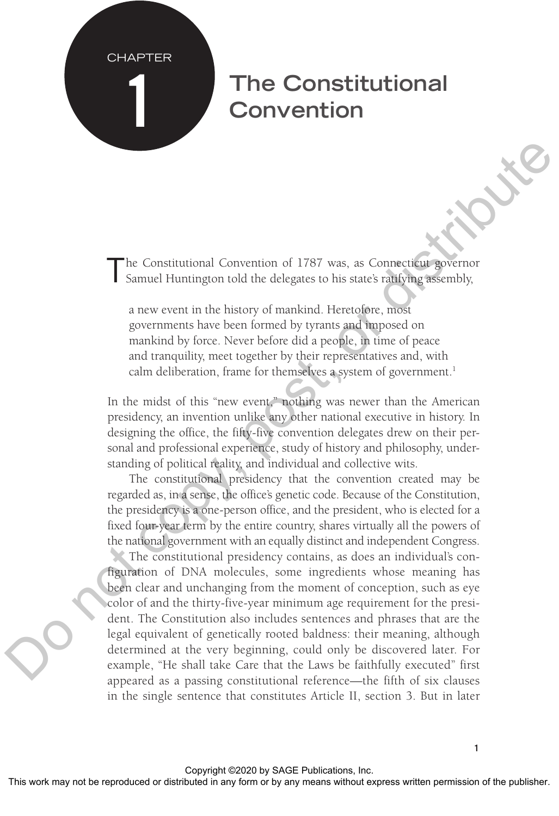# **CHAPTFR**

# **The Constitutional<br>Convention**

The Constitutional Convention of 1787 was, as Connecticut governor Samuel Huntington told the delegates to his state's ratifying assembly,

a new event in the history of mankind. Heretofore, most governments have been formed by tyrants and imposed on mankind by force. Never before did a people, in time of peace and tranquility, meet together by their representatives and, with calm deliberation, frame for themselves a system of government.<sup>1</sup>

In the midst of this "new event," nothing was newer than the American presidency, an invention unlike any other national executive in history. In designing the office, the fifty-five convention delegates drew on their personal and professional experience, study of history and philosophy, understanding of political reality, and individual and collective wits.

The constitutional presidency that the convention created may be regarded as, in a sense, the office's genetic code. Because of the Constitution, the presidency is a one-person office, and the president, who is elected for a fixed four-year term by the entire country, shares virtually all the powers of the national government with an equally distinct and independent Congress.

The constitutional presidency contains, as does an individual's configuration of DNA molecules, some ingredients whose meaning has been clear and unchanging from the moment of conception, such as eye color of and the thirty-five-year minimum age requirement for the president. The Constitution also includes sentences and phrases that are the legal equivalent of genetically rooted baldness: their meaning, although determined at the very beginning, could only be discovered later. For example, "He shall take Care that the Laws be faithfully executed" first appeared as a passing constitutional reference—the fifth of six clauses in the single sentence that constitutes Article II, section 3. But in later The Constitutional persistes was a case or any form or by any form or any form or any form or any form or any form or any means were reproduced or municipal permission of the publisher or any form or publisher. The publis

**1**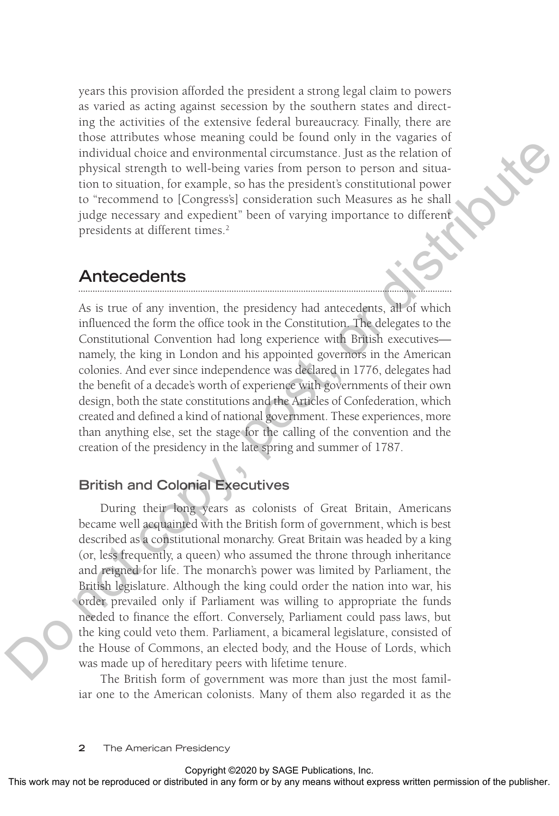years this provision afforded the president a strong legal claim to powers as varied as acting against secession by the southern states and directing the activities of the extensive federal bureaucracy. Finally, there are those attributes whose meaning could be found only in the vagaries of individual choice and environmental circumstance. Just as the relation of physical strength to well-being varies from person to person and situation to situation, for example, so has the president's constitutional power to "recommend to [Congress's] consideration such Measures as he shall judge necessary and expedient" been of varying importance to different presidents at different times.<sup>2</sup>

# **Antecedents**

As is true of any invention, the presidency had antecedents, all of which influenced the form the office took in the Constitution. The delegates to the Constitutional Convention had long experience with British executives namely, the king in London and his appointed governors in the American colonies. And ever since independence was declared in 1776, delegates had the benefit of a decade's worth of experience with governments of their own design, both the state constitutions and the Articles of Confederation, which created and defined a kind of national government. These experiences, more than anything else, set the stage for the calling of the convention and the creation of the presidency in the late spring and summer of 1787.

## **British and Colonial Executives**

During their long years as colonists of Great Britain, Americans became well acquainted with the British form of government, which is best described as a constitutional monarchy. Great Britain was headed by a king (or, less frequently, a queen) who assumed the throne through inheritance and reigned for life. The monarch's power was limited by Parliament, the British legislature. Although the king could order the nation into war, his order prevailed only if Parliament was willing to appropriate the funds needed to finance the effort. Conversely, Parliament could pass laws, but the king could veto them. Parliament, a bicameral legislature, consisted of the House of Commons, an elected body, and the House of Lords, which was made up of hereditary peers with lifetime tenure. From the representation of the reproduced or distributed in any form of the repression or distributed in the publisher angle of the reproduced in any form or any form or any form or distributed in the publisher. The compa

The British form of government was more than just the most familiar one to the American colonists. Many of them also regarded it as the

**2** The American Presidency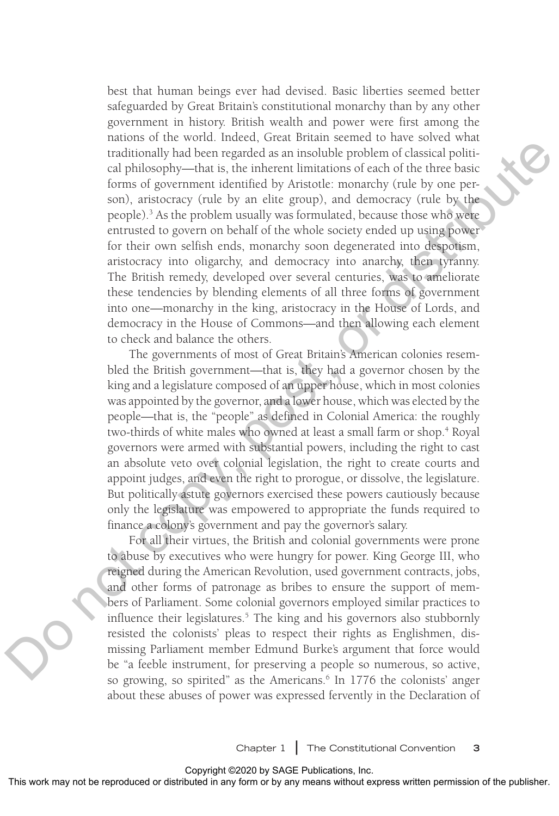best that human beings ever had devised. Basic liberties seemed better safeguarded by Great Britain's constitutional monarchy than by any other government in history. British wealth and power were first among the nations of the world. Indeed, Great Britain seemed to have solved what traditionally had been regarded as an insoluble problem of classical political philosophy—that is, the inherent limitations of each of the three basic forms of government identified by Aristotle: monarchy (rule by one person), aristocracy (rule by an elite group), and democracy (rule by the people).3 As the problem usually was formulated, because those who were entrusted to govern on behalf of the whole society ended up using power for their own selfish ends, monarchy soon degenerated into despotism, aristocracy into oligarchy, and democracy into anarchy, then tyranny. The British remedy, developed over several centuries, was to ameliorate these tendencies by blending elements of all three forms of government into one—monarchy in the king, aristocracy in the House of Lords, and democracy in the House of Commons—and then allowing each element to check and balance the others. The may not be reproduced or the reproduced or the reproduced or the publishering or any of the reproduced or the reproduced in the publishering or any of the publisher may of the publisher may not be represented in a sin

The governments of most of Great Britain's American colonies resembled the British government—that is, they had a governor chosen by the king and a legislature composed of an upper house, which in most colonies was appointed by the governor, and a lower house, which was elected by the people—that is, the "people" as defined in Colonial America: the roughly two-thirds of white males who owned at least a small farm or shop.<sup>4</sup> Royal governors were armed with substantial powers, including the right to cast an absolute veto over colonial legislation, the right to create courts and appoint judges, and even the right to prorogue, or dissolve, the legislature. But politically astute governors exercised these powers cautiously because only the legislature was empowered to appropriate the funds required to finance a colony's government and pay the governor's salary.

For all their virtues, the British and colonial governments were prone to abuse by executives who were hungry for power. King George III, who reigned during the American Revolution, used government contracts, jobs, and other forms of patronage as bribes to ensure the support of members of Parliament. Some colonial governors employed similar practices to influence their legislatures.<sup>5</sup> The king and his governors also stubbornly resisted the colonists' pleas to respect their rights as Englishmen, dismissing Parliament member Edmund Burke's argument that force would be "a feeble instrument, for preserving a people so numerous, so active, so growing, so spirited" as the Americans.<sup>6</sup> In 1776 the colonists' anger about these abuses of power was expressed fervently in the Declaration of

Chapter 1 **|** The Constitutional Convention **<sup>3</sup>**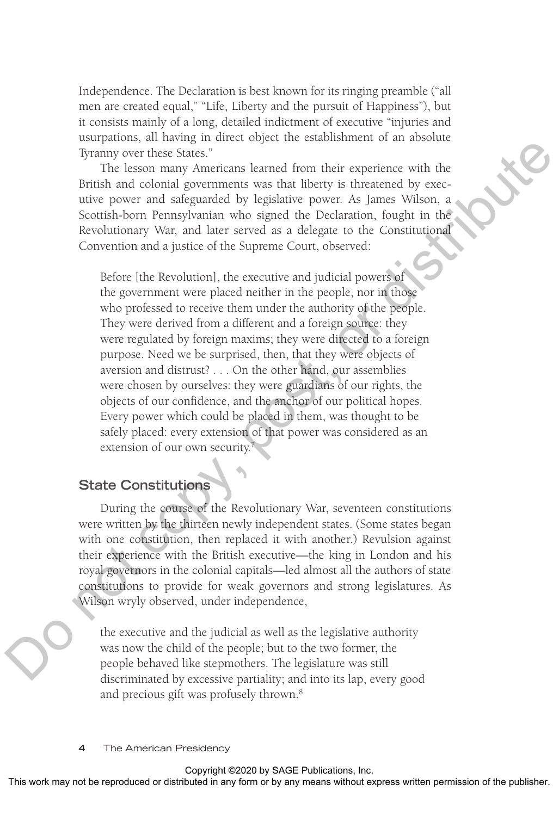Independence. The Declaration is best known for its ringing preamble ("all men are created equal," "Life, Liberty and the pursuit of Happiness"), but it consists mainly of a long, detailed indictment of executive "injuries and usurpations, all having in direct object the establishment of an absolute Tyranny over these States."

The lesson many Americans learned from their experience with the British and colonial governments was that liberty is threatened by executive power and safeguarded by legislative power. As James Wilson, a Scottish-born Pennsylvanian who signed the Declaration, fought in the Revolutionary War, and later served as a delegate to the Constitutional Convention and a justice of the Supreme Court, observed:

Before [the Revolution], the executive and judicial powers of the government were placed neither in the people, nor in those who professed to receive them under the authority of the people. They were derived from a different and a foreign source: they were regulated by foreign maxims; they were directed to a foreign purpose. Need we be surprised, then, that they were objects of aversion and distrust? . . . On the other hand, our assemblies were chosen by ourselves: they were guardians of our rights, the objects of our confidence, and the anchor of our political hopes. Every power which could be placed in them, was thought to be safely placed: every extension of that power was considered as an extension of our own security.<sup>7</sup> The results of the reproduced or distributions was the reproduced or the reproduced or distribution or any form or any form or binder or binder and a publisher point of the publisher parameter of the publishers are a subs

# **State Constitutions**

During the course of the Revolutionary War, seventeen constitutions were written by the thirteen newly independent states. (Some states began with one constitution, then replaced it with another.) Revulsion against their experience with the British executive—the king in London and his royal governors in the colonial capitals—led almost all the authors of state constitutions to provide for weak governors and strong legislatures. As Wilson wryly observed, under independence,

the executive and the judicial as well as the legislative authority was now the child of the people; but to the two former, the people behaved like stepmothers. The legislature was still discriminated by excessive partiality; and into its lap, every good and precious gift was profusely thrown.8

**4** The American Presidency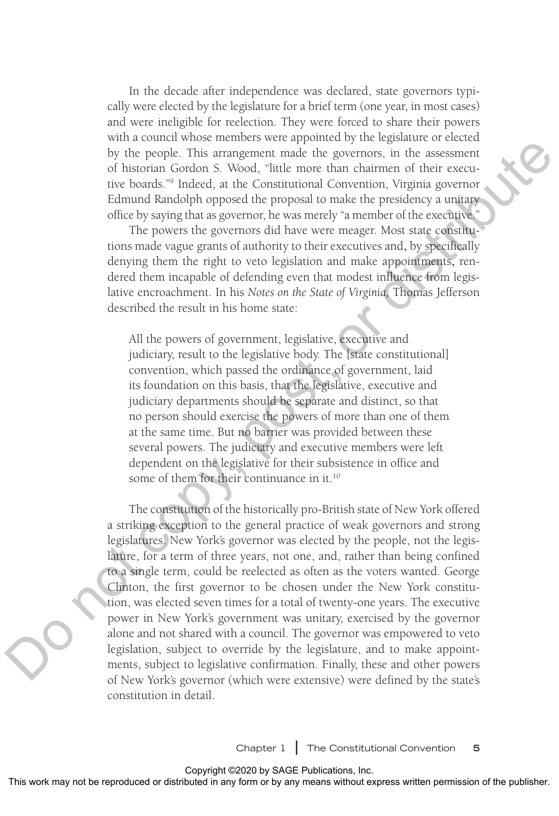In the decade after independence was declared, state governors typically were elected by the legislature for a brief term (one year, in most cases) and were ineligible for reelection. They were forced to share their powers with a council whose members were appointed by the legislature or elected by the people. This arrangement made the governors, in the assessment of historian Gordon S. Wood, "little more than chairmen of their executive boards."9 Indeed, at the Constitutional Convention, Virginia governor Edmund Randolph opposed the proposal to make the presidency a unitary office by saying that as governor, he was merely "a member of the executive."

The powers the governors did have were meager. Most state constitutions made vague grants of authority to their executives and**,** by specifically denying them the right to veto legislation and make appointments**,** rendered them incapable of defending even that modest influence from legislative encroachment. In his *Notes on the State of Virginia,* Thomas Jefferson described the result in his home state:

All the powers of government, legislative, executive and judiciary, result to the legislative body. The [state constitutional] convention, which passed the ordinance of government, laid its foundation on this basis, that the legislative, executive and judiciary departments should be separate and distinct, so that no person should exercise the powers of more than one of them at the same time. But no barrier was provided between these several powers. The judiciary and executive members were left dependent on the legislative for their subsistence in office and some of them for their continuance in it.<sup>10</sup>

The constitution of the historically pro-British state of New York offered a striking exception to the general practice of weak governors and strong legislatures. New York's governor was elected by the people, not the legislature, for a term of three years, not one, and, rather than being confined to a single term, could be reelected as often as the voters wanted. George Clinton, the first governor to be chosen under the New York constitution, was elected seven times for a total of twenty-one years. The executive power in New York's government was unitary, exercised by the governor alone and not shared with a council. The governor was empowered to veto legislation, subject to override by the legislature, and to make appointments, subject to legislative confirmation. Finally, these and other powers of New York's governor (which were extensive) were defined by the state's constitution in detail. This work may not be reproduced or distributed or the any five space or distributed in the constraints of the any form or by any form or by any form or by any form or by any form or by any form or by any form or by any fo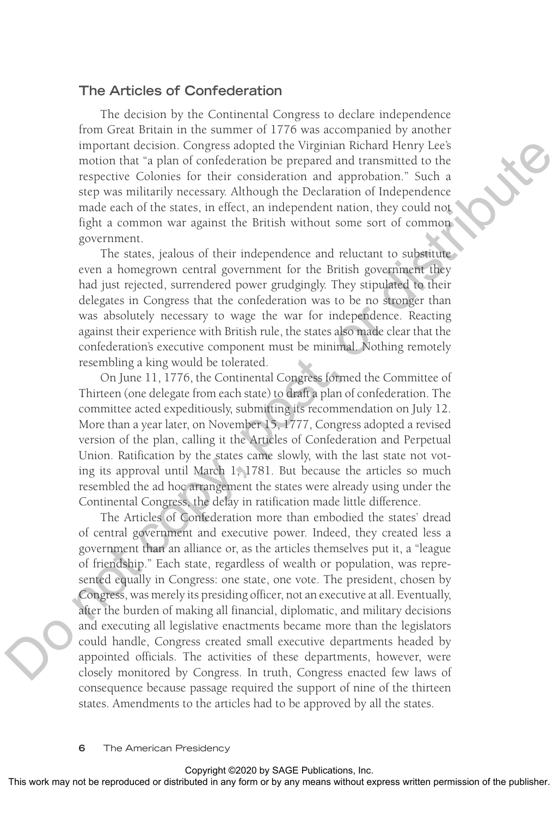#### **The Articles of Confederation**

The decision by the Continental Congress to declare independence from Great Britain in the summer of 1776 was accompanied by another important decision. Congress adopted the Virginian Richard Henry Lee's motion that "a plan of confederation be prepared and transmitted to the respective Colonies for their consideration and approbation." Such a step was militarily necessary. Although the Declaration of Independence made each of the states, in effect, an independent nation, they could not fight a common war against the British without some sort of common government.

The states, jealous of their independence and reluctant to substitute even a homegrown central government for the British government they had just rejected, surrendered power grudgingly. They stipulated to their delegates in Congress that the confederation was to be no stronger than was absolutely necessary to wage the war for independence. Reacting against their experience with British rule, the states also made clear that the confederation's executive component must be minimal. Nothing remotely resembling a king would be tolerated.

On June 11, 1776, the Continental Congress formed the Committee of Thirteen (one delegate from each state) to draft a plan of confederation. The committee acted expeditiously, submitting its recommendation on July 12. More than a year later, on November 15, 1777, Congress adopted a revised version of the plan, calling it the Articles of Confederation and Perpetual Union. Ratification by the states came slowly, with the last state not voting its approval until March 1, 1781. But because the articles so much resembled the ad hoc arrangement the states were already using under the Continental Congress, the delay in ratification made little difference.

The Articles of Confederation more than embodied the states' dread of central government and executive power. Indeed, they created less a government than an alliance or, as the articles themselves put it, a "league of friendship." Each state, regardless of wealth or population, was represented equally in Congress: one state, one vote. The president, chosen by Congress, was merely its presiding officer, not an executive at all. Eventually, after the burden of making all financial, diplomatic, and military decisions and executing all legislative enactments became more than the legislators could handle, Congress created small executive departments headed by appointed officials. The activities of these departments, however, were closely monitored by Congress. In truth, Congress enacted few laws of consequence because passage required the support of nine of the thirteen states. Amendments to the articles had to be approved by all the states. Important decision. Congress adopted the Virginian Richard i Enry<br>Important in a state as presented or distributed in any firstige means with a state was the rest of the state, in distributed in any firstige means with a

**6** The American Presidency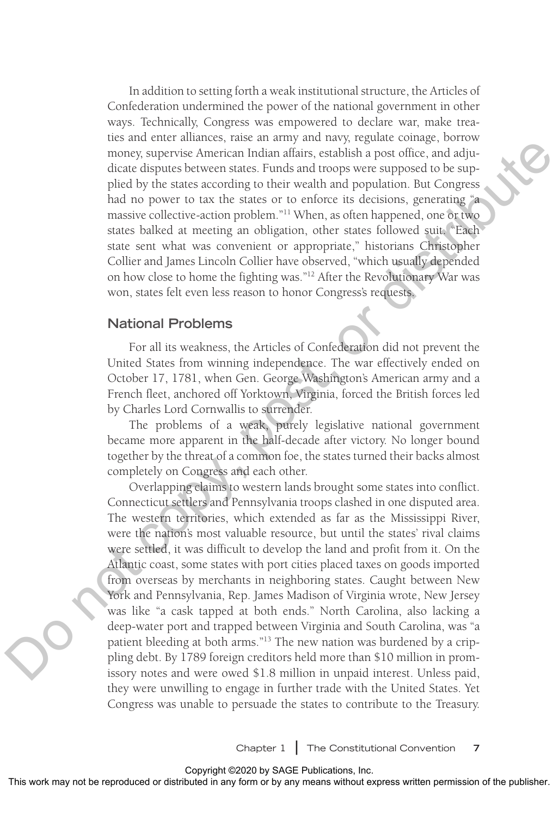In addition to setting forth a weak institutional structure, the Articles of Confederation undermined the power of the national government in other ways. Technically, Congress was empowered to declare war, make treaties and enter alliances, raise an army and navy, regulate coinage, borrow money, supervise American Indian affairs, establish a post office, and adjudicate disputes between states. Funds and troops were supposed to be supplied by the states according to their wealth and population. But Congress had no power to tax the states or to enforce its decisions, generating "a massive collective-action problem."11 When, as often happened, one or two states balked at meeting an obligation, other states followed suit. "Each state sent what was convenient or appropriate," historians Christopher Collier and James Lincoln Collier have observed, "which usually depended on how close to home the fighting was."12 After the Revolutionary War was won, states felt even less reason to honor Congress's requests.

#### **National Problems**

For all its weakness, the Articles of Confederation did not prevent the United States from winning independence. The war effectively ended on October 17, 1781, when Gen. George Washington's American army and a French fleet, anchored off Yorktown, Virginia, forced the British forces led by Charles Lord Cornwallis to surrender.

The problems of a weak, purely legislative national government became more apparent in the half-decade after victory. No longer bound together by the threat of a common foe, the states turned their backs almost completely on Congress and each other.

Overlapping claims to western lands brought some states into conflict. Connecticut settlers and Pennsylvania troops clashed in one disputed area. The western territories, which extended as far as the Mississippi River, were the nation's most valuable resource, but until the states' rival claims were settled, it was difficult to develop the land and profit from it. On the Atlantic coast, some states with port cities placed taxes on goods imported from overseas by merchants in neighboring states. Caught between New York and Pennsylvania, Rep. James Madison of Virginia wrote, New Jersey was like "a cask tapped at both ends." North Carolina, also lacking a deep-water port and trapped between Virginia and South Carolina, was "a patient bleeding at both arms."<sup>13</sup> The new nation was burdened by a crippling debt. By 1789 foreign creditors held more than \$10 million in promissory notes and were owed \$1.8 million in unpaid interest. Unless paid, they were unwilling to engage in further trade with the United States. Yet Congress was unable to persuade the states to contribute to the Treasury. The repression of the reproduced or distributed in any form or by an analyzing the state of the reproduced or distributed in any form or by any means a small or the publisher. This can be reproduced to be any form or by an

Chapter 1 **|** The Constitutional Convention **<sup>7</sup>**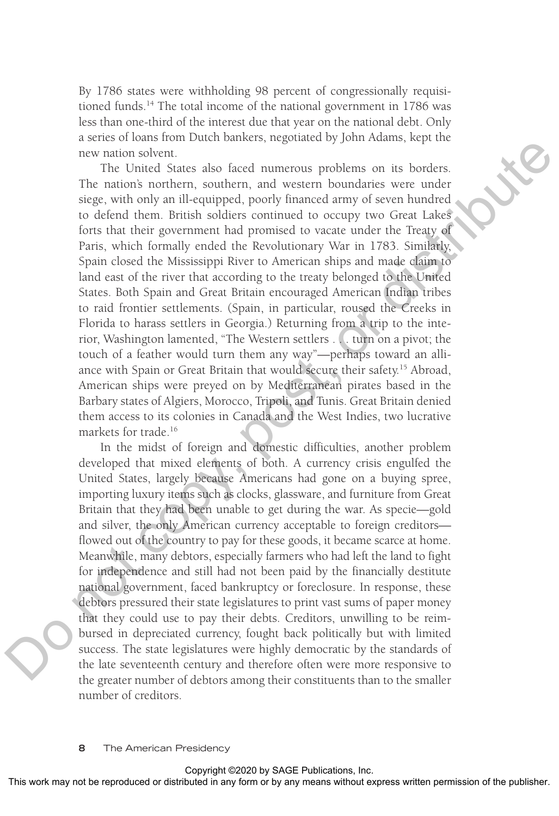By 1786 states were withholding 98 percent of congressionally requisitioned funds.14 The total income of the national government in 1786 was less than one-third of the interest due that year on the national debt. Only a series of loans from Dutch bankers, negotiated by John Adams, kept the new nation solvent.

The United States also faced numerous problems on its borders. The nation's northern, southern, and western boundaries were under siege, with only an ill-equipped, poorly financed army of seven hundred to defend them. British soldiers continued to occupy two Great Lakes forts that their government had promised to vacate under the Treaty of Paris, which formally ended the Revolutionary War in 1783. Similarly, Spain closed the Mississippi River to American ships and made claim to land east of the river that according to the treaty belonged to the United States. Both Spain and Great Britain encouraged American Indian tribes to raid frontier settlements. (Spain, in particular, roused the Creeks in Florida to harass settlers in Georgia.) Returning from a trip to the interior, Washington lamented, "The Western settlers . . . turn on a pivot; the touch of a feather would turn them any way"—perhaps toward an alliance with Spain or Great Britain that would secure their safety.15 Abroad, American ships were preyed on by Mediterranean pirates based in the Barbary states of Algiers, Morocco, Tripoli, and Tunis. Great Britain denied them access to its colonies in Canada and the West Indies, two lucrative markets for trade.16 The matter or the minimal or distributed or distributed or distributed in any form of the reproduced or distributed or distributed or distributed in a property without express were not<br>the representation of the publisher

In the midst of foreign and domestic difficulties, another problem developed that mixed elements of both. A currency crisis engulfed the United States, largely because Americans had gone on a buying spree, importing luxury items such as clocks, glassware, and furniture from Great Britain that they had been unable to get during the war. As specie—gold and silver, the only American currency acceptable to foreign creditors flowed out of the country to pay for these goods, it became scarce at home. Meanwhile, many debtors, especially farmers who had left the land to fight for independence and still had not been paid by the financially destitute national government, faced bankruptcy or foreclosure. In response, these debtors pressured their state legislatures to print vast sums of paper money that they could use to pay their debts. Creditors, unwilling to be reimbursed in depreciated currency, fought back politically but with limited success. The state legislatures were highly democratic by the standards of the late seventeenth century and therefore often were more responsive to the greater number of debtors among their constituents than to the smaller number of creditors.

**8** The American Presidency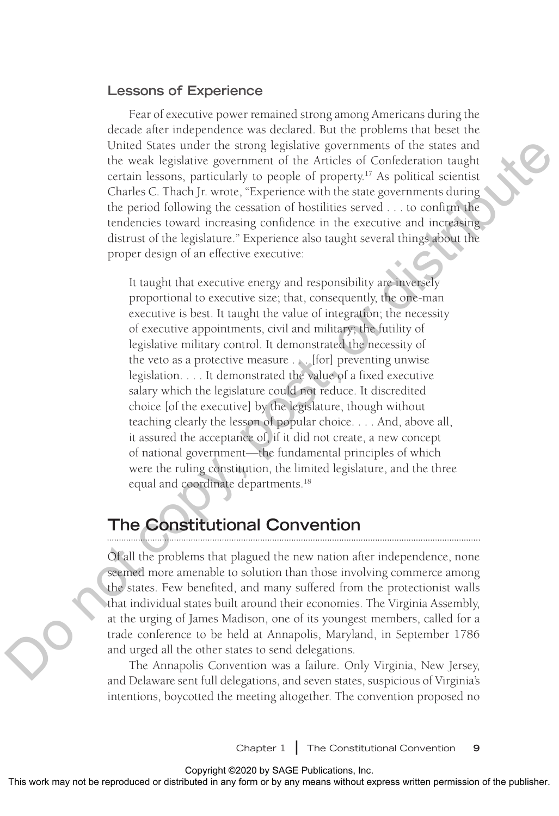#### **Lessons of Experience**

Fear of executive power remained strong among Americans during the decade after independence was declared. But the problems that beset the United States under the strong legislative governments of the states and the weak legislative government of the Articles of Confederation taught certain lessons, particularly to people of property.<sup>17</sup> As political scientist Charles C. Thach Jr. wrote, "Experience with the state governments during the period following the cessation of hostilities served . . . to confirm the tendencies toward increasing confidence in the executive and increasing distrust of the legislature." Experience also taught several things about the proper design of an effective executive:

It taught that executive energy and responsibility are inversely proportional to executive size; that, consequently, the one-man executive is best. It taught the value of integration; the necessity of executive appointments, civil and military; the futility of legislative military control. It demonstrated the necessity of the veto as a protective measure . . . [for] preventing unwise legislation. . . . It demonstrated the value of a fixed executive salary which the legislature could not reduce. It discredited choice [of the executive] by the legislature, though without teaching clearly the lesson of popular choice. . . . And, above all, it assured the acceptance of, if it did not create, a new concept of national government—the fundamental principles of which were the ruling constitution, the limited legislature, and the three equal and coordinate departments.<sup>18</sup> The Constitute or distributed or distributed or distributed or distributed in any means when the reproduced or the publisher or the publisher or the publisher or by any fitting the construction of the publisher. Some this

# **The Constitutional Convention**

Of all the problems that plagued the new nation after independence, none seemed more amenable to solution than those involving commerce among the states. Few benefited, and many suffered from the protectionist walls that individual states built around their economies. The Virginia Assembly, at the urging of James Madison, one of its youngest members, called for a trade conference to be held at Annapolis, Maryland, in September 1786 and urged all the other states to send delegations.

The Annapolis Convention was a failure. Only Virginia, New Jersey, and Delaware sent full delegations, and seven states, suspicious of Virginia's intentions, boycotted the meeting altogether. The convention proposed no

Chapter 1 **|** The Constitutional Convention **<sup>9</sup>**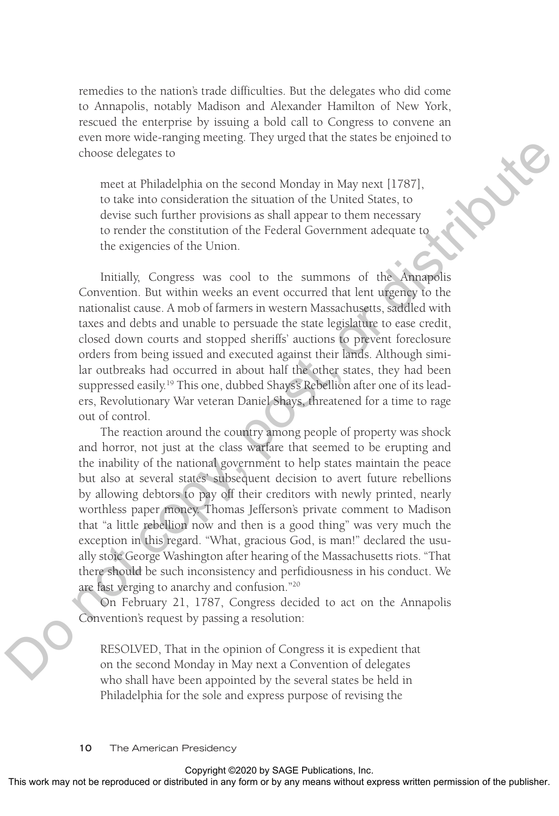remedies to the nation's trade difficulties. But the delegates who did come to Annapolis, notably Madison and Alexander Hamilton of New York, rescued the enterprise by issuing a bold call to Congress to convene an even more wide-ranging meeting. They urged that the states be enjoined to choose delegates to

meet at Philadelphia on the second Monday in May next [1787], to take into consideration the situation of the United States, to devise such further provisions as shall appear to them necessary to render the constitution of the Federal Government adequate to the exigencies of the Union.

Initially, Congress was cool to the summons of the Annapolis Convention. But within weeks an event occurred that lent urgency to the nationalist cause. A mob of farmers in western Massachusetts, saddled with taxes and debts and unable to persuade the state legislature to ease credit, closed down courts and stopped sheriffs' auctions to prevent foreclosure orders from being issued and executed against their lands. Although similar outbreaks had occurred in about half the other states, they had been suppressed easily.<sup>19</sup> This one, dubbed Shays's Rebellion after one of its leaders, Revolutionary War veteran Daniel Shays, threatened for a time to rage out of control.

The reaction around the country among people of property was shock and horror, not just at the class warfare that seemed to be erupting and the inability of the national government to help states maintain the peace but also at several states' subsequent decision to avert future rebellions by allowing debtors to pay off their creditors with newly printed, nearly worthless paper money. Thomas Jefferson's private comment to Madison that "a little rebellion now and then is a good thing" was very much the exception in this regard. "What, gracious God, is man!" declared the usually stoic George Washington after hearing of the Massachusetts riots. "That there should be such inconsistency and perfidiousness in his conduct. We are fast verging to anarchy and confusion."20 Consider the repression of the reproduced or distributed in any form of the reproduced in any form or the reproduced in any form or by any form or by any form or by any form or between the reproduced in any form or by any

On February 21, 1787, Congress decided to act on the Annapolis Convention's request by passing a resolution:

RESOLVED, That in the opinion of Congress it is expedient that on the second Monday in May next a Convention of delegates who shall have been appointed by the several states be held in Philadelphia for the sole and express purpose of revising the

**10** The American Presidency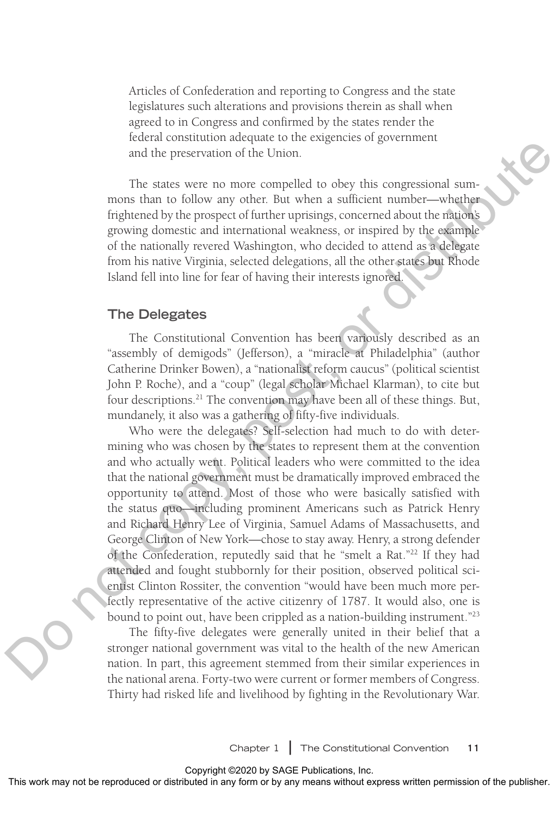Articles of Confederation and reporting to Congress and the state legislatures such alterations and provisions therein as shall when agreed to in Congress and confirmed by the states render the federal constitution adequate to the exigencies of government and the preservation of the Union.

The states were no more compelled to obey this congressional summons than to follow any other. But when a sufficient number—whether frightened by the prospect of further uprisings, concerned about the nation's growing domestic and international weakness, or inspired by the example of the nationally revered Washington, who decided to attend as a delegate from his native Virginia, selected delegations, all the other states but Rhode Island fell into line for fear of having their interests ignored.

#### **The Delegates**

The Constitutional Convention has been variously described as an "assembly of demigods" (Jefferson), a "miracle at Philadelphia" (author Catherine Drinker Bowen), a "nationalist reform caucus" (political scientist John P. Roche), and a "coup" (legal scholar Michael Klarman), to cite but four descriptions.21 The convention may have been all of these things. But, mundanely, it also was a gathering of fifty-five individuals.

Who were the delegates? Self-selection had much to do with determining who was chosen by the states to represent them at the convention and who actually went. Political leaders who were committed to the idea that the national government must be dramatically improved embraced the opportunity to attend. Most of those who were basically satisfied with the status quo—including prominent Americans such as Patrick Henry and Richard Henry Lee of Virginia, Samuel Adams of Massachusetts, and George Clinton of New York—chose to stay away. Henry, a strong defender of the Confederation, reputedly said that he "smelt a Rat."22 If they had attended and fought stubbornly for their position, observed political scientist Clinton Rossiter, the convention "would have been much more perfectly representative of the active citizenry of 1787. It would also, one is bound to point out, have been crippled as a nation-building instrument." $^{23}$ and the purse comparison of the Data<br>
The axes we reproduced in order parameterizes concerned about the distribution<br>
moves than the player state of the publisher produced in the publisher of<br>the publisher and the publish

The fifty-five delegates were generally united in their belief that a stronger national government was vital to the health of the new American nation. In part, this agreement stemmed from their similar experiences in the national arena. Forty-two were current or former members of Congress. Thirty had risked life and livelihood by fighting in the Revolutionary War.

Chapter 1 **|** The Constitutional Convention **<sup>11</sup>**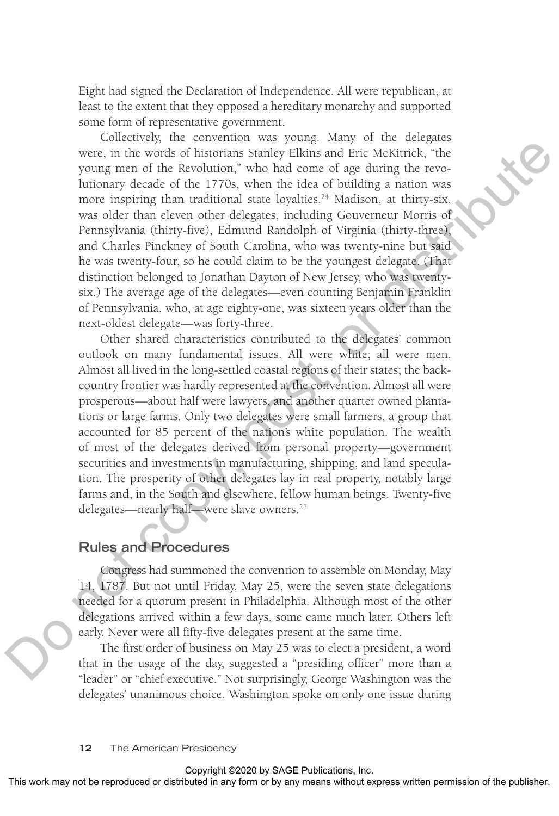Eight had signed the Declaration of Independence. All were republican, at least to the extent that they opposed a hereditary monarchy and supported some form of representative government.

Collectively, the convention was young. Many of the delegates were, in the words of historians Stanley Elkins and Eric McKitrick, "the young men of the Revolution," who had come of age during the revolutionary decade of the 1770s, when the idea of building a nation was more inspiring than traditional state loyalties.<sup>24</sup> Madison, at thirty-six, was older than eleven other delegates, including Gouverneur Morris of Pennsylvania (thirty-five), Edmund Randolph of Virginia (thirty-three), and Charles Pinckney of South Carolina, who was twenty-nine but said he was twenty-four, so he could claim to be the youngest delegate. (That distinction belonged to Jonathan Dayton of New Jersey, who was twentysix.) The average age of the delegates—even counting Benjamin Franklin of Pennsylvania, who, at age eighty-one, was sixteen years older than the next-oldest delegate—was forty-three. ere, on the solenoid of the reproduced or distributed or distributed in the reproduced or distributed in any form or distributed in any means with the reproduced in a bursting conserver that the reproduced in a bursting c

Other shared characteristics contributed to the delegates' common outlook on many fundamental issues. All were white; all were men. Almost all lived in the long-settled coastal regions of their states; the backcountry frontier was hardly represented at the convention. Almost all were prosperous—about half were lawyers, and another quarter owned plantations or large farms. Only two delegates were small farmers, a group that accounted for 85 percent of the nation's white population. The wealth of most of the delegates derived from personal property—government securities and investments in manufacturing, shipping, and land speculation. The prosperity of other delegates lay in real property, notably large farms and, in the South and elsewhere, fellow human beings. Twenty-five delegates—nearly half—were slave owners.<sup>25</sup>

#### **Rules and Procedures**

Congress had summoned the convention to assemble on Monday, May 14, 1787. But not until Friday, May 25, were the seven state delegations needed for a quorum present in Philadelphia. Although most of the other delegations arrived within a few days, some came much later. Others left early. Never were all fifty-five delegates present at the same time.

The first order of business on May 25 was to elect a president, a word that in the usage of the day, suggested a "presiding officer" more than a "leader" or "chief executive." Not surprisingly, George Washington was the delegates' unanimous choice. Washington spoke on only one issue during

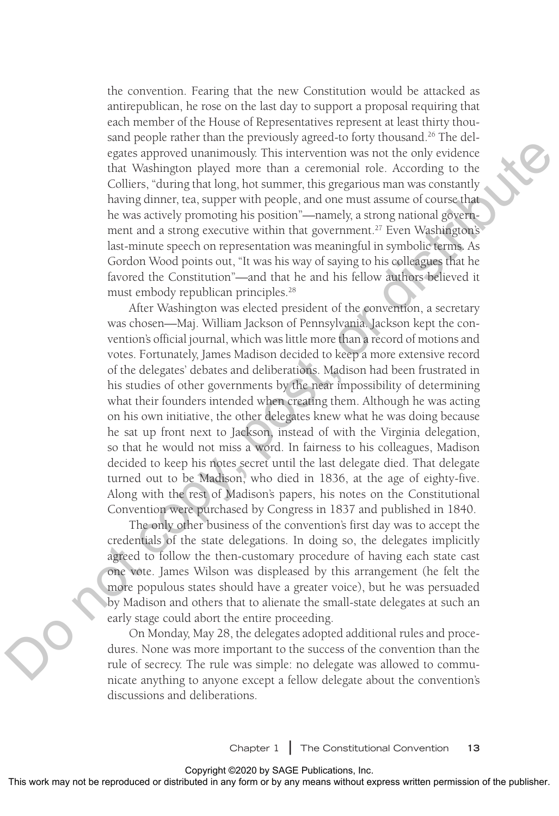the convention. Fearing that the new Constitution would be attacked as antirepublican, he rose on the last day to support a proposal requiring that each member of the House of Representatives represent at least thirty thousand people rather than the previously agreed-to forty thousand.<sup>26</sup> The delegates approved unanimously. This intervention was not the only evidence that Washington played more than a ceremonial role. According to the Colliers, "during that long, hot summer, this gregarious man was constantly having dinner, tea, supper with people, and one must assume of course that he was actively promoting his position"—namely, a strong national government and a strong executive within that government.<sup>27</sup> Even Washington's last-minute speech on representation was meaningful in symbolic terms. As Gordon Wood points out, "It was his way of saying to his colleagues that he favored the Constitution"—and that he and his fellow authors believed it must embody republican principles.<sup>28</sup>

After Washington was elected president of the convention, a secretary was chosen—Maj. William Jackson of Pennsylvania. Jackson kept the convention's official journal, which was little more than a record of motions and votes. Fortunately, James Madison decided to keep a more extensive record of the delegates' debates and deliberations. Madison had been frustrated in his studies of other governments by the near impossibility of determining what their founders intended when creating them. Although he was acting on his own initiative, the other delegates knew what he was doing because he sat up front next to Jackson, instead of with the Virginia delegation, so that he would not miss a word. In fairness to his colleagues, Madison decided to keep his notes secret until the last delegate died. That delegate turned out to be Madison, who died in 1836, at the age of eighty-five. Along with the rest of Madison's papers, his notes on the Constitutional Convention were purchased by Congress in 1837 and published in 1840. The representation of the representation of the representation or by any form or by any form or by any means with the stributed or distributed in any form or by any means we computed in a computed in any form or by any me

The only other business of the convention's first day was to accept the credentials of the state delegations. In doing so, the delegates implicitly agreed to follow the then-customary procedure of having each state cast one vote. James Wilson was displeased by this arrangement (he felt the more populous states should have a greater voice), but he was persuaded by Madison and others that to alienate the small-state delegates at such an early stage could abort the entire proceeding.

On Monday, May 28, the delegates adopted additional rules and procedures. None was more important to the success of the convention than the rule of secrecy. The rule was simple: no delegate was allowed to communicate anything to anyone except a fellow delegate about the convention's discussions and deliberations.

Chapter 1 **|** The Constitutional Convention **<sup>13</sup>**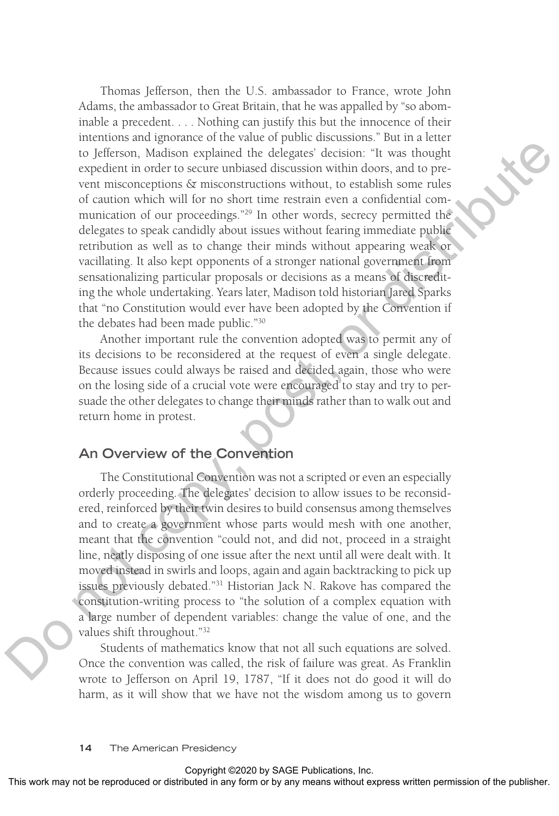Thomas Jefferson, then the U.S. ambassador to France, wrote John Adams, the ambassador to Great Britain, that he was appalled by "so abominable a precedent. . . . Nothing can justify this but the innocence of their intentions and ignorance of the value of public discussions." But in a letter to Jefferson, Madison explained the delegates' decision: "It was thought expedient in order to secure unbiased discussion within doors, and to prevent misconceptions & misconstructions without, to establish some rules of caution which will for no short time restrain even a confidential communication of our proceedings."29 In other words, secrecy permitted the delegates to speak candidly about issues without fearing immediate public retribution as well as to change their minds without appearing weak or vacillating. It also kept opponents of a stronger national government from sensationalizing particular proposals or decisions as a means of discrediting the whole undertaking. Years later, Madison told historian Jared Sparks that "no Constitution would ever have been adopted by the Convention if the debates had been made public."30 The computer or the convention of the column or distributed or distributed or distributed or distributed or distributed or distributed or the state of the publisher or by any form or by any form or by any form or by any f

Another important rule the convention adopted was to permit any of its decisions to be reconsidered at the request of even a single delegate. Because issues could always be raised and decided again, those who were on the losing side of a crucial vote were encouraged to stay and try to persuade the other delegates to change their minds rather than to walk out and return home in protest.

#### **An Overview of the Convention**

The Constitutional Convention was not a scripted or even an especially orderly proceeding. The delegates' decision to allow issues to be reconsidered, reinforced by their twin desires to build consensus among themselves and to create a government whose parts would mesh with one another, meant that the convention "could not, and did not, proceed in a straight line, neatly disposing of one issue after the next until all were dealt with. It moved instead in swirls and loops, again and again backtracking to pick up issues previously debated."31 Historian Jack N. Rakove has compared the constitution-writing process to "the solution of a complex equation with a large number of dependent variables: change the value of one, and the values shift throughout."32

Students of mathematics know that not all such equations are solved. Once the convention was called, the risk of failure was great. As Franklin wrote to Jefferson on April 19, 1787, "If it does not do good it will do harm, as it will show that we have not the wisdom among us to govern

**14** The American Presidency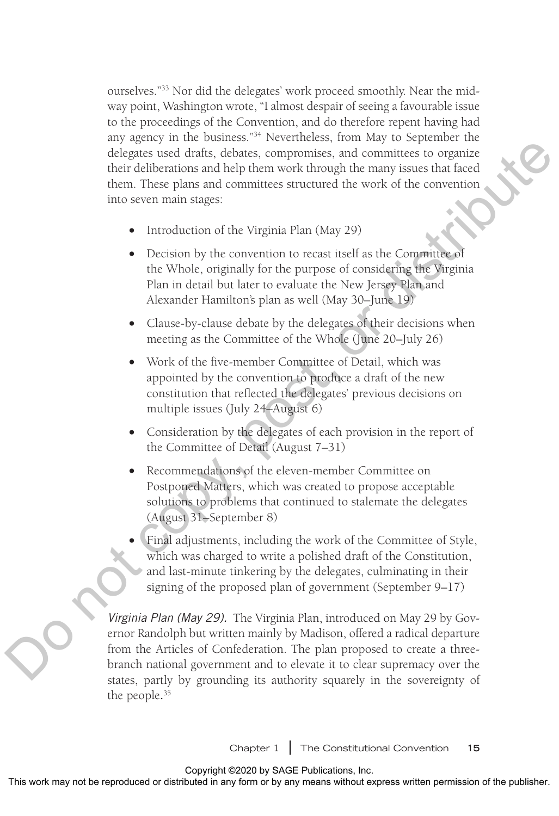ourselves."33 Nor did the delegates' work proceed smoothly. Near the midway point, Washington wrote, "I almost despair of seeing a favourable issue to the proceedings of the Convention, and do therefore repent having had any agency in the business."<sup>34</sup> Nevertheless, from May to September the delegates used drafts, debates, compromises, and committees to organize their deliberations and help them work through the many issues that faced them. These plans and committees structured the work of the convention into seven main stages:

- Introduction of the Virginia Plan (May 29)
- Decision by the convention to recast itself as the Committee of the Whole, originally for the purpose of considering the Virginia Plan in detail but later to evaluate the New Jersey Plan and Alexander Hamilton's plan as well (May 30–June 19)
- Clause-by-clause debate by the delegates of their decisions when meeting as the Committee of the Whole (June 20–July 26)
- Work of the five-member Committee of Detail, which was appointed by the convention to produce a draft of the new constitution that reflected the delegates' previous decisions on multiple issues (July 24–August 6)
- Consideration by the delegates of each provision in the report of the Committee of Detail (August 7–31)
- Recommendations of the eleven-member Committee on Postponed Matters, which was created to propose acceptable solutions to problems that continued to stalemate the delegates (August 31–September 8)
- Final adjustments, including the work of the Committee of Style, which was charged to write a polished draft of the Constitution, and last-minute tinkering by the delegates, culminating in their signing of the proposed plan of government (September 9–17)

*Virginia Plan (May 29).* The Virginia Plan, introduced on May 29 by Governor Randolph but written mainly by Madison, offered a radical departure from the Articles of Confederation. The plan proposed to create a threebranch national government and to elevate it to clear supremacy over the states, partly by grounding its authority squarely in the sovereignty of the people**.** 35 This work may not be reproduced or distributed or distributed in any form or by any means when  $\sim$  but the publisher or the publisher or distributed in any form or by any means we are but the publisher. The publisher or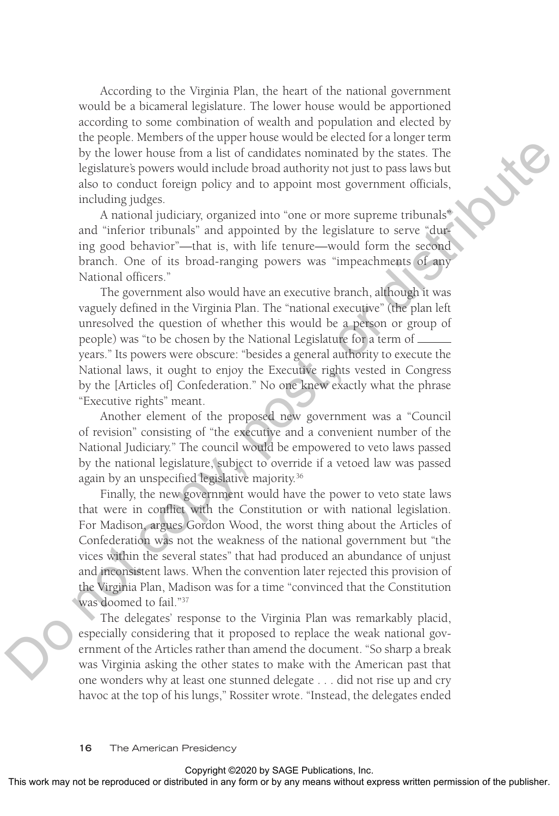According to the Virginia Plan, the heart of the national government would be a bicameral legislature. The lower house would be apportioned according to some combination of wealth and population and elected by the people. Members of the upper house would be elected for a longer term by the lower house from a list of candidates nominated by the states. The legislature's powers would include broad authority not just to pass laws but also to conduct foreign policy and to appoint most government officials, including judges.

A national judiciary, organized into "one or more supreme tribunals" and "inferior tribunals" and appointed by the legislature to serve "during good behavior"—that is, with life tenure—would form the second branch. One of its broad-ranging powers was "impeachments of any National officers."

The government also would have an executive branch, although it was vaguely defined in the Virginia Plan. The "national executive" (the plan left unresolved the question of whether this would be a person or group of people) was "to be chosen by the National Legislature for a term of years." Its powers were obscure: "besides a general authority to execute the National laws, it ought to enjoy the Executive rights vested in Congress by the [Articles of] Confederation." No one knew exactly what the phrase "Executive rights" meant. The computed or distributed or distributed or distributed or distributed in any form or by any form or distributed in any form or by any form or by any form or by any means with the signature or distributed in any content

Another element of the proposed new government was a "Council of revision" consisting of "the executive and a convenient number of the National Judiciary." The council would be empowered to veto laws passed by the national legislature, subject to override if a vetoed law was passed again by an unspecified legislative majority.36

Finally, the new government would have the power to veto state laws that were in conflict with the Constitution or with national legislation. For Madison, argues Gordon Wood, the worst thing about the Articles of Confederation was not the weakness of the national government but "the vices within the several states" that had produced an abundance of unjust and inconsistent laws. When the convention later rejected this provision of the Virginia Plan, Madison was for a time "convinced that the Constitution was doomed to fail."37

The delegates' response to the Virginia Plan was remarkably placid, especially considering that it proposed to replace the weak national government of the Articles rather than amend the document. "So sharp a break was Virginia asking the other states to make with the American past that one wonders why at least one stunned delegate . . . did not rise up and cry havoc at the top of his lungs," Rossiter wrote. "Instead, the delegates ended

**16** The American Presidency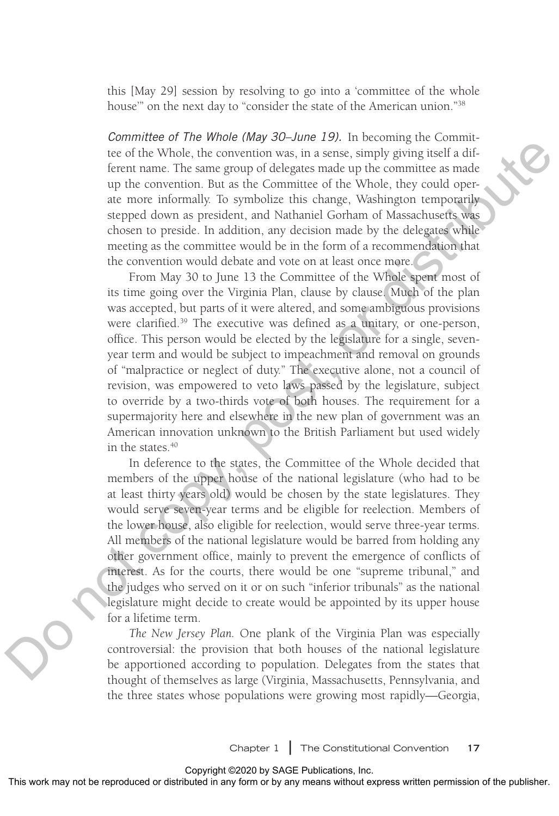this [May 29] session by resolving to go into a 'committee of the whole house'" on the next day to "consider the state of the American union."38

*Committee of The Whole (May 30–June 19).* In becoming the Committee of the Whole, the convention was, in a sense, simply giving itself a different name. The same group of delegates made up the committee as made up the convention. But as the Committee of the Whole, they could operate more informally. To symbolize this change, Washington temporarily stepped down as president, and Nathaniel Gorham of Massachusetts was chosen to preside. In addition, any decision made by the delegates while meeting as the committee would be in the form of a recommendation that the convention would debate and vote on at least once more.

From May 30 to June 13 the Committee of the Whole spent most of its time going over the Virginia Plan, clause by clause. Much of the plan was accepted, but parts of it were altered, and some ambiguous provisions were clarified.<sup>39</sup> The executive was defined as a unitary, or one-person, office. This person would be elected by the legislature for a single, sevenyear term and would be subject to impeachment and removal on grounds of "malpractice or neglect of duty." The executive alone, not a council of revision, was empowered to veto laws passed by the legislature, subject to override by a two-thirds vote of both houses. The requirement for a supermajority here and elsewhere in the new plan of government was an American innovation unknown to the British Parliament but used widely in the states.<sup>40</sup> the convention of the Convention or distributed in a state. Another any form and the reproduced or the reproduced in any form or by an expression or the computed in any form or by an expression of the publisher. This with

In deference to the states, the Committee of the Whole decided that members of the upper house of the national legislature (who had to be at least thirty years old) would be chosen by the state legislatures. They would serve seven-year terms and be eligible for reelection. Members of the lower house, also eligible for reelection, would serve three-year terms. All members of the national legislature would be barred from holding any other government office, mainly to prevent the emergence of conflicts of interest. As for the courts, there would be one "supreme tribunal," and the judges who served on it or on such "inferior tribunals" as the national legislature might decide to create would be appointed by its upper house for a lifetime term.

*The New Jersey Plan.* One plank of the Virginia Plan was especially controversial: the provision that both houses of the national legislature be apportioned according to population. Delegates from the states that thought of themselves as large (Virginia, Massachusetts, Pennsylvania, and the three states whose populations were growing most rapidly—Georgia,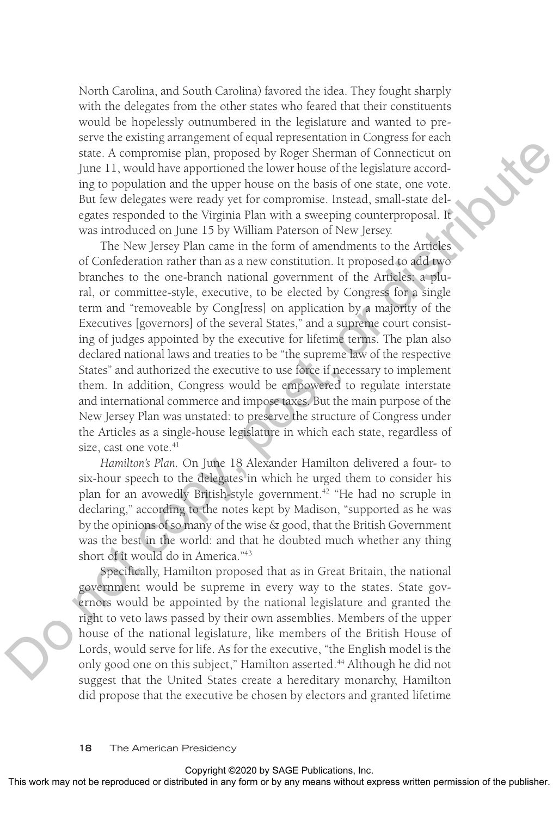North Carolina, and South Carolina) favored the idea. They fought sharply with the delegates from the other states who feared that their constituents would be hopelessly outnumbered in the legislature and wanted to preserve the existing arrangement of equal representation in Congress for each state. A compromise plan, proposed by Roger Sherman of Connecticut on June 11, would have apportioned the lower house of the legislature according to population and the upper house on the basis of one state, one vote. But few delegates were ready yet for compromise. Instead, small-state delegates responded to the Virginia Plan with a sweeping counterproposal. It was introduced on June 15 by William Paterson of New Jersey.

The New Jersey Plan came in the form of amendments to the Articles of Confederation rather than as a new constitution. It proposed to add two branches to the one-branch national government of the Articles: a plural, or committee-style, executive, to be elected by Congress for a single term and "removeable by Cong[ress] on application by a majority of the Executives [governors] of the several States," and a supreme court consisting of judges appointed by the executive for lifetime terms. The plan also declared national laws and treaties to be "the supreme law of the respective States" and authorized the executive to use force if necessary to implement them. In addition, Congress would be empowered to regulate interstate and international commerce and impose taxes. But the main purpose of the New Jersey Plan was unstated: to preserve the structure of Congress under the Articles as a single-house legislature in which each state, regardless of size, cast one vote.<sup>41</sup> State Accores means the reproduced or distributed in any form of the reproduced in any form or by any form or by any form or by any form or by any form or by any form or by any form or by any form or by any form or by any

*Hamilton's Plan.* On June 18 Alexander Hamilton delivered a four- to six-hour speech to the delegates in which he urged them to consider his plan for an avowedly British-style government.<sup>42</sup> "He had no scruple in declaring," according to the notes kept by Madison, "supported as he was by the opinions of so many of the wise & good, that the British Government was the best in the world: and that he doubted much whether any thing short of it would do in America."43

Specifically, Hamilton proposed that as in Great Britain, the national government would be supreme in every way to the states. State governors would be appointed by the national legislature and granted the right to veto laws passed by their own assemblies. Members of the upper house of the national legislature, like members of the British House of Lords, would serve for life. As for the executive, "the English model is the only good one on this subject," Hamilton asserted.<sup>44</sup> Although he did not suggest that the United States create a hereditary monarchy, Hamilton did propose that the executive be chosen by electors and granted lifetime

**<sup>18</sup>** The American Presidency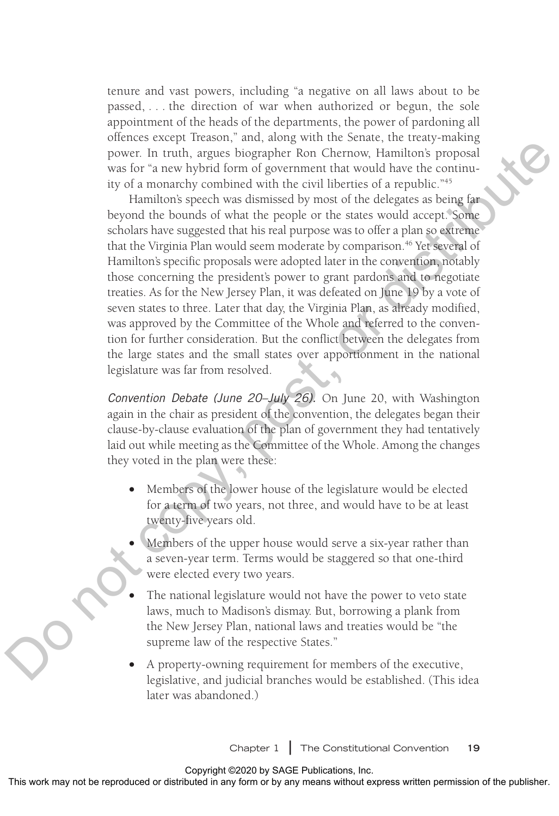tenure and vast powers, including "a negative on all laws about to be passed, . . . the direction of war when authorized or begun, the sole appointment of the heads of the departments, the power of pardoning all offences except Treason," and, along with the Senate, the treaty-making power. In truth, argues biographer Ron Chernow, Hamilton's proposal was for "a new hybrid form of government that would have the continuity of a monarchy combined with the civil liberties of a republic."45

Hamilton's speech was dismissed by most of the delegates as being far beyond the bounds of what the people or the states would accept. Some scholars have suggested that his real purpose was to offer a plan so extreme that the Virginia Plan would seem moderate by comparison.<sup>46</sup> Yet several of Hamilton's specific proposals were adopted later in the convention, notably those concerning the president's power to grant pardons and to negotiate treaties. As for the New Jersey Plan, it was defeated on June 19 by a vote of seven states to three. Later that day, the Virginia Plan, as already modified, was approved by the Committee of the Whole and referred to the convention for further consideration. But the conflict between the delegates from the large states and the small states over apportionment in the national legislature was far from resolved. The representation of the representation of the representation of the reproduced or distributed in any form or by an interaction of the control or distributed in any form of the publisher. All the publishers of the publis

*Convention Debate (June 20–July 26).* On June 20, with Washington again in the chair as president of the convention, the delegates began their clause-by-clause evaluation of the plan of government they had tentatively laid out while meeting as the Committee of the Whole. Among the changes they voted in the plan were these:

- Members of the lower house of the legislature would be elected for a term of two years, not three, and would have to be at least twenty-five years old.
- Members of the upper house would serve a six-year rather than a seven-year term. Terms would be staggered so that one-third were elected every two years.
- The national legislature would not have the power to veto state laws, much to Madison's dismay. But, borrowing a plank from the New Jersey Plan, national laws and treaties would be "the supreme law of the respective States."
- A property-owning requirement for members of the executive, legislative, and judicial branches would be established. (This idea later was abandoned.)

Chapter 1 **|** The Constitutional Convention **<sup>19</sup>**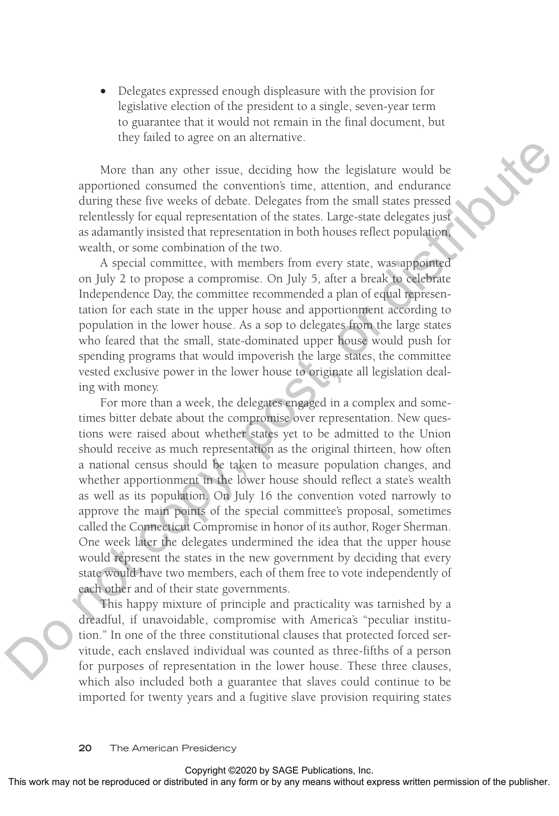• Delegates expressed enough displeasure with the provision for legislative election of the president to a single, seven-year term to guarantee that it would not remain in the final document, but they failed to agree on an alternative.

More than any other issue, deciding how the legislature would be apportioned consumed the convention's time, attention, and endurance during these five weeks of debate. Delegates from the small states pressed relentlessly for equal representation of the states. Large-state delegates just as adamantly insisted that representation in both houses reflect population, wealth, or some combination of the two.

A special committee, with members from every state, was appointed on July 2 to propose a compromise. On July 5, after a break to celebrate Independence Day, the committee recommended a plan of equal representation for each state in the upper house and apportionment according to population in the lower house. As a sop to delegates from the large states who feared that the small, state-dominated upper house would push for spending programs that would impoverish the large states, the committee vested exclusive power in the lower house to originate all legislation dealing with money.

For more than a week, the delegates engaged in a complex and sometimes bitter debate about the compromise over representation. New questions were raised about whether states yet to be admitted to the Union should receive as much representation as the original thirteen, how often a national census should be taken to measure population changes, and whether apportionment in the lower house should reflect a state's wealth as well as its population. On July 16 the convention voted narrowly to approve the main points of the special committee's proposal, sometimes called the Connecticut Compromise in honor of its author, Roger Sherman. One week later the delegates undermined the idea that the upper house would represent the states in the new government by deciding that every state would have two members, each of them free to vote independently of each other and of their state governments. The representation of the representation or distributed or distributed or distributed or distributed or distributed in any means with the material any means of the publisher and the publisher and the publisher and the pub

This happy mixture of principle and practicality was tarnished by a dreadful, if unavoidable, compromise with America's "peculiar institution." In one of the three constitutional clauses that protected forced servitude, each enslaved individual was counted as three-fifths of a person for purposes of representation in the lower house. These three clauses, which also included both a guarantee that slaves could continue to be imported for twenty years and a fugitive slave provision requiring states

**20** The American Presidency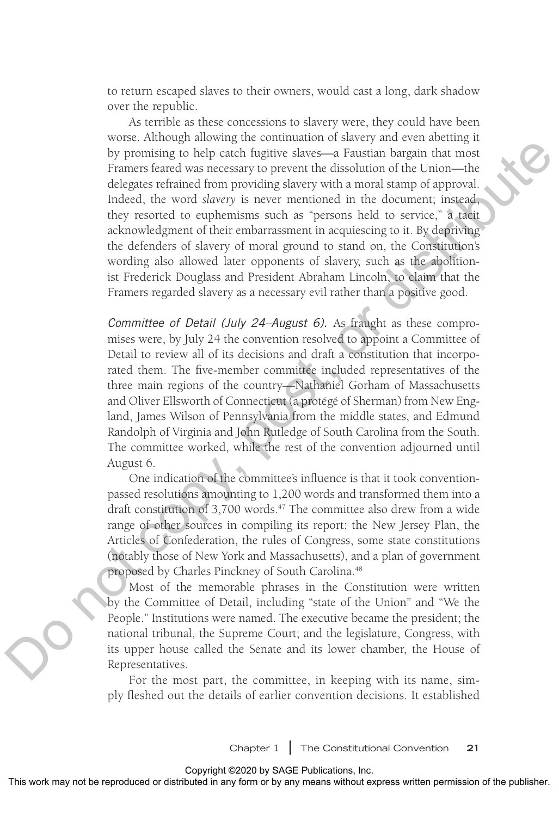to return escaped slaves to their owners, would cast a long, dark shadow over the republic.

As terrible as these concessions to slavery were, they could have been worse. Although allowing the continuation of slavery and even abetting it by promising to help catch fugitive slaves—a Faustian bargain that most Framers feared was necessary to prevent the dissolution of the Union—the delegates refrained from providing slavery with a moral stamp of approval. Indeed, the word *slavery* is never mentioned in the document; instead, they resorted to euphemisms such as "persons held to service," a tacit acknowledgment of their embarrassment in acquiescing to it. By depriving the defenders of slavery of moral ground to stand on, the Constitution's wording also allowed later opponents of slavery, such as the abolitionist Frederick Douglass and President Abraham Lincoln, to claim that the Framers regarded slavery as a necessary evil rather than a positive good. The this work may not be reproduced or distributed in any form of the results of the representation of the transformation of the transformation of the transformation of the transformation of the transformation of the publ

*Committee of Detail (July 24–August 6).* As fraught as these compromises were, by July 24 the convention resolved to appoint a Committee of Detail to review all of its decisions and draft a constitution that incorporated them. The five-member committee included representatives of the three main regions of the country—Nathaniel Gorham of Massachusetts and Oliver Ellsworth of Connecticut (a protégé of Sherman) from New England, James Wilson of Pennsylvania from the middle states, and Edmund Randolph of Virginia and John Rutledge of South Carolina from the South. The committee worked, while the rest of the convention adjourned until August 6.

One indication of the committee's influence is that it took conventionpassed resolutions amounting to 1,200 words and transformed them into a draft constitution of 3,700 words.<sup>47</sup> The committee also drew from a wide range of other sources in compiling its report: the New Jersey Plan, the Articles of Confederation, the rules of Congress, some state constitutions (notably those of New York and Massachusetts), and a plan of government proposed by Charles Pinckney of South Carolina.<sup>48</sup>

Most of the memorable phrases in the Constitution were written by the Committee of Detail, including "state of the Union" and "We the People." Institutions were named. The executive became the president; the national tribunal, the Supreme Court; and the legislature, Congress, with its upper house called the Senate and its lower chamber, the House of Representatives.

For the most part, the committee, in keeping with its name, simply fleshed out the details of earlier convention decisions. It established

Chapter 1 **|** The Constitutional Convention **<sup>21</sup>**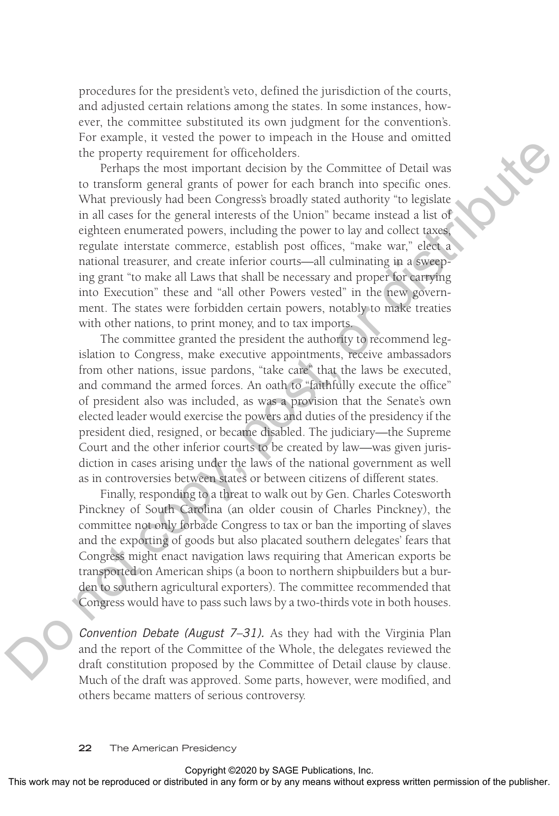procedures for the president's veto, defined the jurisdiction of the courts, and adjusted certain relations among the states. In some instances, however, the committee substituted its own judgment for the convention's. For example, it vested the power to impeach in the House and omitted the property requirement for officeholders.

Perhaps the most important decision by the Committee of Detail was to transform general grants of power for each branch into specific ones. What previously had been Congress's broadly stated authority "to legislate in all cases for the general interests of the Union" became instead a list of eighteen enumerated powers, including the power to lay and collect taxes, regulate interstate commerce, establish post offices, "make war," elect a national treasurer, and create inferior courts—all culminating in a sweeping grant "to make all Laws that shall be necessary and proper for carrying into Execution" these and "all other Powers vested" in the new government. The states were forbidden certain powers, notably to make treaties with other nations, to print money, and to tax imports. The most may not be computed or the computer or distributed in any or by any means with publisher or distributed in any or be reproduced in any or by and content in a content permission of the behavior because in all case

The committee granted the president the authority to recommend legislation to Congress, make executive appointments, receive ambassadors from other nations, issue pardons, "take care" that the laws be executed, and command the armed forces. An oath to "faithfully execute the office" of president also was included, as was a provision that the Senate's own elected leader would exercise the powers and duties of the presidency if the president died, resigned, or became disabled. The judiciary—the Supreme Court and the other inferior courts to be created by law—was given jurisdiction in cases arising under the laws of the national government as well as in controversies between states or between citizens of different states.

Finally, responding to a threat to walk out by Gen. Charles Cotesworth Pinckney of South Carolina (an older cousin of Charles Pinckney), the committee not only forbade Congress to tax or ban the importing of slaves and the exporting of goods but also placated southern delegates' fears that Congress might enact navigation laws requiring that American exports be transported on American ships (a boon to northern shipbuilders but a burden to southern agricultural exporters). The committee recommended that Congress would have to pass such laws by a two-thirds vote in both houses.

*Convention Debate (August 7–31).* As they had with the Virginia Plan and the report of the Committee of the Whole, the delegates reviewed the draft constitution proposed by the Committee of Detail clause by clause. Much of the draft was approved. Some parts, however, were modified, and others became matters of serious controversy.

**22** The American Presidency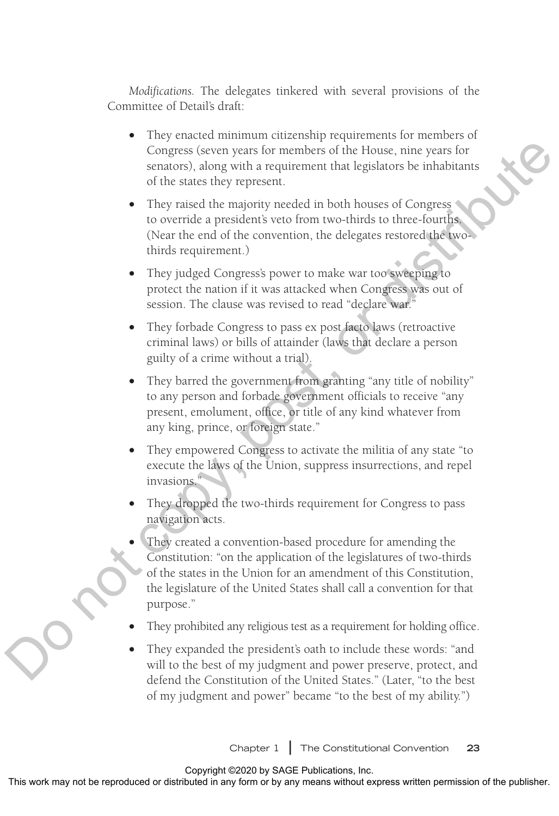*Modifications.* The delegates tinkered with several provisions of the Committee of Detail's draft:

- They enacted minimum citizenship requirements for members of Congress (seven years for members of the House, nine years for senators), along with a requirement that legislators be inhabitants of the states they represent.
- They raised the majority needed in both houses of Congress to override a president's veto from two-thirds to three-fourths. (Near the end of the convention, the delegates restored the twothirds requirement.)
- They judged Congress's power to make war too sweeping to protect the nation if it was attacked when Congress was out of session. The clause was revised to read "declare war."
- They forbade Congress to pass ex post facto laws (retroactive criminal laws) or bills of attainder (laws that declare a person guilty of a crime without a trial).
- They barred the government from granting "any title of nobility" to any person and forbade government officials to receive "any present, emolument, office, or title of any kind whatever from any king, prince, or foreign state."
- They empowered Congress to activate the militia of any state "to execute the laws of the Union, suppress insurrections, and repel invasions."
- They dropped the two-thirds requirement for Congress to pass navigation acts.
- They created a convention-based procedure for amending the Constitution: "on the application of the legislatures of two-thirds of the states in the Union for an amendment of this Constitution, the legislature of the United States shall call a convention for that purpose." Congress or express with may not be reproduced or distribution or the reproduced or the publisher may the publisher or distributed in any form or by any means of the publisher. They any means the convention, the elaborati
	- They prohibited any religious test as a requirement for holding office.
	- They expanded the president's oath to include these words: "and will to the best of my judgment and power preserve, protect, and defend the Constitution of the United States." (Later, "to the best of my judgment and power" became "to the best of my ability.")

Chapter 1 **|** The Constitutional Convention **<sup>23</sup>**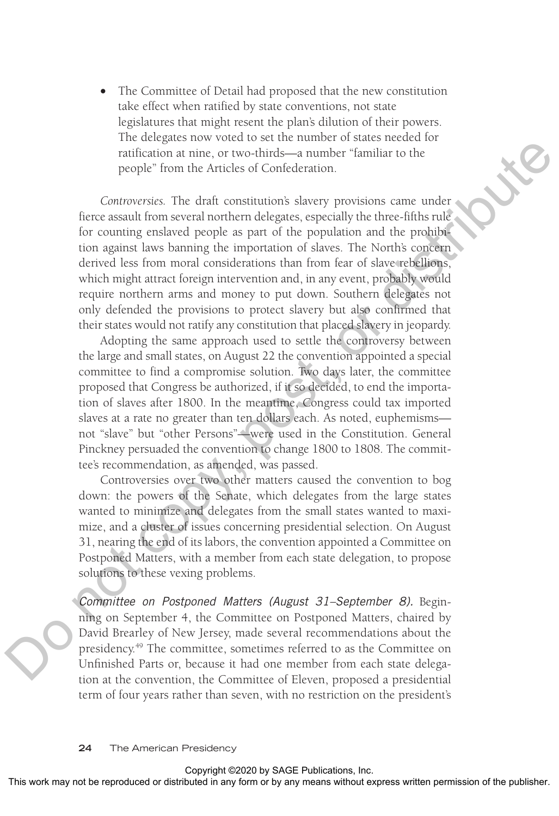• The Committee of Detail had proposed that the new constitution take effect when ratified by state conventions, not state legislatures that might resent the plan's dilution of their powers. The delegates now voted to set the number of states needed for ratification at nine, or two-thirds—a number "familiar to the people" from the Articles of Confederation.

*Controversies.* The draft constitution's slavery provisions came under fierce assault from several northern delegates, especially the three-fifths rule for counting enslaved people as part of the population and the prohibition against laws banning the importation of slaves. The North's concern derived less from moral considerations than from fear of slave rebellions. which might attract foreign intervention and, in any event, probably would require northern arms and money to put down. Southern delegates not only defended the provisions to protect slavery but also confirmed that their states would not ratify any constitution that placed slavery in jeopardy. This work may not be reproduced or distributed in any form or by any means with the publisher or distributed in the publisher or distributed in the publisher of the publisher. Also convert of the publisher and the publish

Adopting the same approach used to settle the controversy between the large and small states, on August 22 the convention appointed a special committee to find a compromise solution. Two days later, the committee proposed that Congress be authorized, if it so decided, to end the importation of slaves after 1800. In the meantime, Congress could tax imported slaves at a rate no greater than ten dollars each. As noted, euphemisms not "slave" but "other Persons"—were used in the Constitution. General Pinckney persuaded the convention to change 1800 to 1808. The committee's recommendation, as amended, was passed.

Controversies over two other matters caused the convention to bog down: the powers of the Senate, which delegates from the large states wanted to minimize and delegates from the small states wanted to maximize, and a cluster of issues concerning presidential selection. On August 31, nearing the end of its labors, the convention appointed a Committee on Postponed Matters, with a member from each state delegation, to propose solutions to these vexing problems.

*Committee on Postponed Matters (August 31–September 8).* Beginning on September 4, the Committee on Postponed Matters, chaired by David Brearley of New Jersey, made several recommendations about the presidency.<sup>49</sup> The committee, sometimes referred to as the Committee on Unfinished Parts or, because it had one member from each state delegation at the convention, the Committee of Eleven, proposed a presidential term of four years rather than seven, with no restriction on the president's

**24** The American Presidency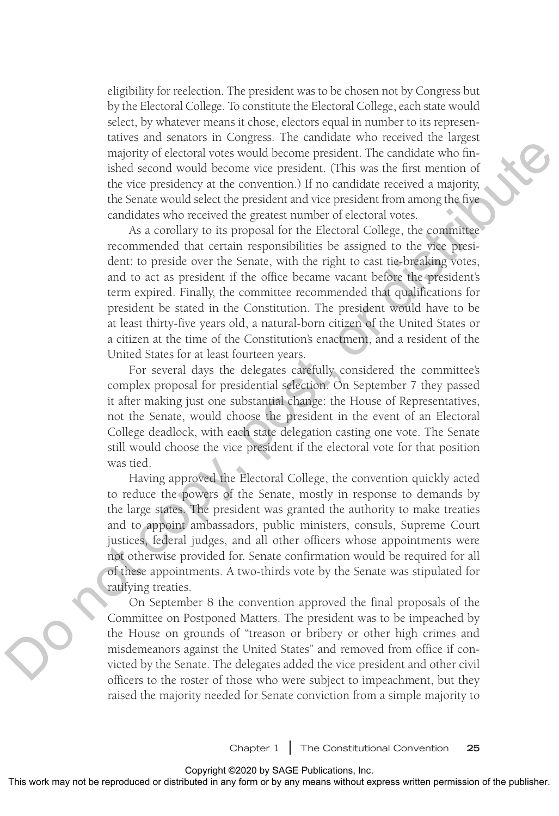eligibility for reelection. The president was to be chosen not by Congress but by the Electoral College. To constitute the Electoral College, each state would select, by whatever means it chose, electors equal in number to its representatives and senators in Congress. The candidate who received the largest majority of electoral votes would become president. The candidate who finished second would become vice president. (This was the first mention of the vice presidency at the convention.) If no candidate received a majority, the Senate would select the president and vice president from among the five candidates who received the greatest number of electoral votes.

As a corollary to its proposal for the Electoral College, the committee recommended that certain responsibilities be assigned to the vice president: to preside over the Senate, with the right to cast tie-breaking votes, and to act as president if the office became vacant before the president's term expired. Finally, the committee recommended that qualifications for president be stated in the Constitution. The president would have to be at least thirty-five years old, a natural-born citizen of the United States or a citizen at the time of the Constitution's enactment, and a resident of the United States for at least fourteen years. may not be constrained or distributed in the constraints of the publisher. The constraints of the publisher is the sympator of the publisher or by any means of the publisher. This can be compatibuted in any means when the

For several days the delegates carefully considered the committee's complex proposal for presidential selection. On September 7 they passed it after making just one substantial change: the House of Representatives, not the Senate, would choose the president in the event of an Electoral College deadlock, with each state delegation casting one vote. The Senate still would choose the vice president if the electoral vote for that position was tied.

Having approved the Electoral College, the convention quickly acted to reduce the powers of the Senate, mostly in response to demands by the large states. The president was granted the authority to make treaties and to appoint ambassadors, public ministers, consuls, Supreme Court justices, federal judges, and all other officers whose appointments were not otherwise provided for. Senate confirmation would be required for all of these appointments. A two-thirds vote by the Senate was stipulated for ratifying treaties.

On September 8 the convention approved the final proposals of the Committee on Postponed Matters. The president was to be impeached by the House on grounds of "treason or bribery or other high crimes and misdemeanors against the United States" and removed from office if convicted by the Senate. The delegates added the vice president and other civil officers to the roster of those who were subject to impeachment, but they raised the majority needed for Senate conviction from a simple majority to

Chapter 1 **|** The Constitutional Convention **<sup>25</sup>**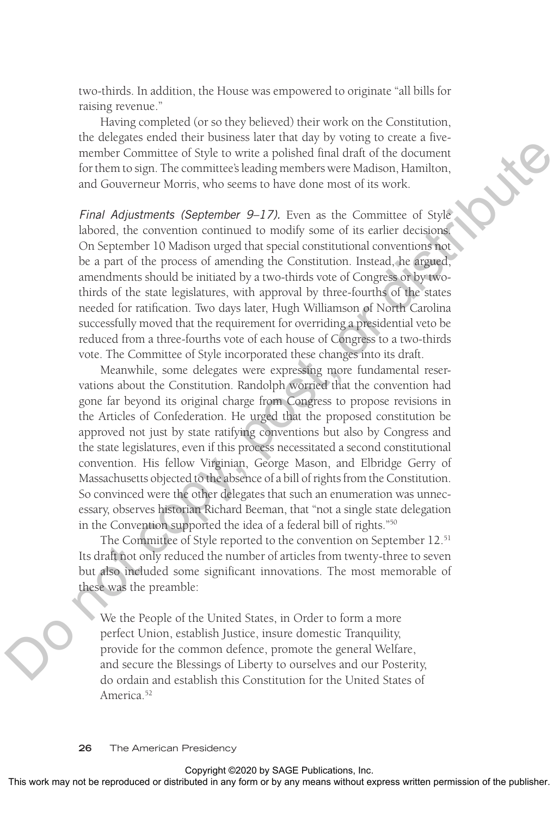two-thirds. In addition, the House was empowered to originate "all bills for raising revenue."

Having completed (or so they believed) their work on the Constitution, the delegates ended their business later that day by voting to create a fivemember Committee of Style to write a polished final draft of the document for them to sign. The committee's leading members were Madison, Hamilton, and Gouverneur Morris, who seems to have done most of its work.

*Final Adjustments (September 9–17).* Even as the Committee of Style labored, the convention continued to modify some of its earlier decisions. On September 10 Madison urged that special constitutional conventions not be a part of the process of amending the Constitution. Instead, he argued, amendments should be initiated by a two-thirds vote of Congress or by twothirds of the state legislatures, with approval by three-fourths of the states needed for ratification. Two days later, Hugh Williamson of North Carolina successfully moved that the requirement for overriding a presidential veto be reduced from a three-fourths vote of each house of Congress to a two-thirds vote. The Committee of Style incorporated these changes into its draft.

Meanwhile, some delegates were expressing more fundamental reservations about the Constitution. Randolph worried that the convention had gone far beyond its original charge from Congress to propose revisions in the Articles of Confederation. He urged that the proposed constitution be approved not just by state ratifying conventions but also by Congress and the state legislatures, even if this process necessitated a second constitutional convention. His fellow Virginian, George Mason, and Elbridge Gerry of Massachusetts objected to the absence of a bill of rights from the Constitution. So convinced were the other delegates that such an enumeration was unnecessary, observes historian Richard Beeman, that "not a single state delegation in the Convention supported the idea of a federal bill of rights."50 The computer of the reproduced or distributed or distributed in any form or by any means were the reproduced or the reproduced in any form or by any form or by any  $\epsilon$  multipused in any form or  $\epsilon$  the computer or  $\epsilon$ 

The Committee of Style reported to the convention on September 12.<sup>51</sup> Its draft not only reduced the number of articles from twenty-three to seven but also included some significant innovations. The most memorable of these was the preamble:

We the People of the United States, in Order to form a more perfect Union, establish Justice, insure domestic Tranquility, provide for the common defence, promote the general Welfare, and secure the Blessings of Liberty to ourselves and our Posterity, do ordain and establish this Constitution for the United States of America.<sup>52</sup>

**26** The American Presidency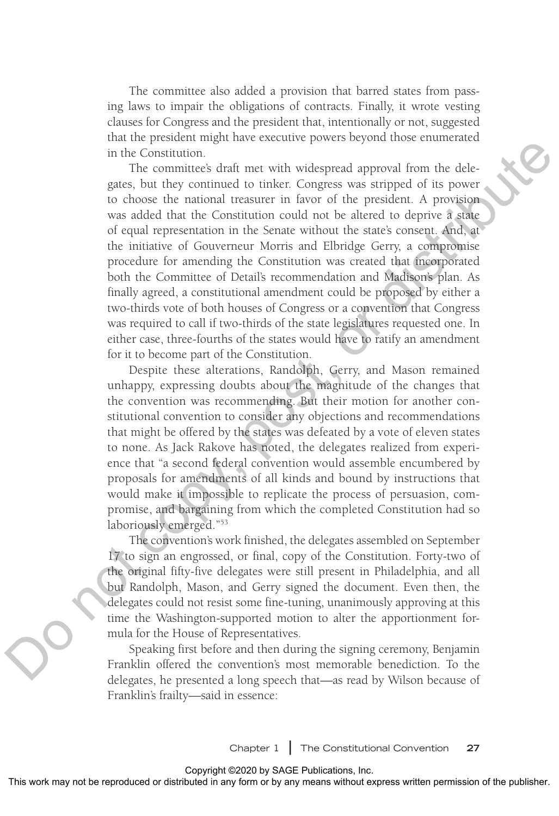The committee also added a provision that barred states from passing laws to impair the obligations of contracts. Finally, it wrote vesting clauses for Congress and the president that, intentionally or not, suggested that the president might have executive powers beyond those enumerated in the Constitution.

The committee's draft met with widespread approval from the delegates, but they continued to tinker. Congress was stripped of its power to choose the national treasurer in favor of the president. A provision was added that the Constitution could not be altered to deprive a state of equal representation in the Senate without the state's consent. And, at the initiative of Gouverneur Morris and Elbridge Gerry, a compromise procedure for amending the Constitution was created that incorporated both the Committee of Detail's recommendation and Madison's plan. As finally agreed, a constitutional amendment could be proposed by either a two-thirds vote of both houses of Congress or a convention that Congress was required to call if two-thirds of the state legislatures requested one. In either case, three-fourths of the states would have to ratify an amendment for it to become part of the Constitution. The repression of the constraints of the repression of the publisher of the publisher of the publisher or distributed or the reproduced or by any means when the constraints constraints of the publisher of the publisher of

Despite these alterations, Randolph, Gerry, and Mason remained unhappy, expressing doubts about the magnitude of the changes that the convention was recommending. But their motion for another constitutional convention to consider any objections and recommendations that might be offered by the states was defeated by a vote of eleven states to none. As Jack Rakove has noted, the delegates realized from experience that "a second federal convention would assemble encumbered by proposals for amendments of all kinds and bound by instructions that would make it impossible to replicate the process of persuasion, compromise, and bargaining from which the completed Constitution had so laboriously emerged."<sup>53</sup>

The convention's work finished, the delegates assembled on September 17 to sign an engrossed, or final, copy of the Constitution. Forty-two of the original fifty-five delegates were still present in Philadelphia, and all but Randolph, Mason, and Gerry signed the document. Even then, the delegates could not resist some fine-tuning, unanimously approving at this time the Washington-supported motion to alter the apportionment formula for the House of Representatives.

Speaking first before and then during the signing ceremony, Benjamin Franklin offered the convention's most memorable benediction. To the delegates, he presented a long speech that—as read by Wilson because of Franklin's frailty—said in essence: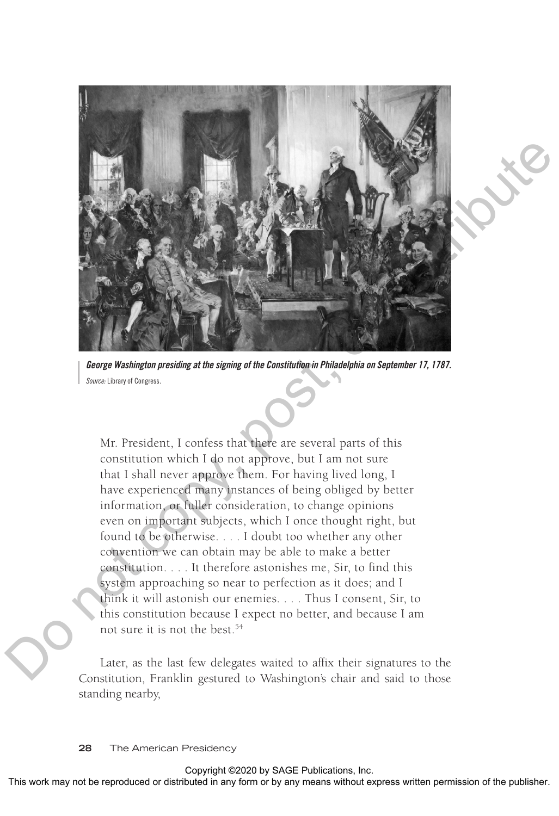

*George Washington presiding at the signing of the Constitution in Philadelphia on September 17, 1787. Source:* Library of Congress.

Mr. President, I confess that there are several parts of this constitution which I do not approve, but I am not sure that I shall never approve them. For having lived long, I have experienced many instances of being obliged by better information, or fuller consideration, to change opinions even on important subjects, which I once thought right, but found to be otherwise. . . . I doubt too whether any other convention we can obtain may be able to make a better constitution. . . . It therefore astonishes me, Sir, to find this system approaching so near to perfection as it does; and I think it will astonish our enemies. . . . Thus I consent, Sir, to this constitution because I expect no better, and because I am not sure it is not the best.<sup>54</sup>

Later, as the last few delegates waited to affix their signatures to the Constitution, Franklin gestured to Washington's chair and said to those standing nearby,

```
28 The American Presidency
```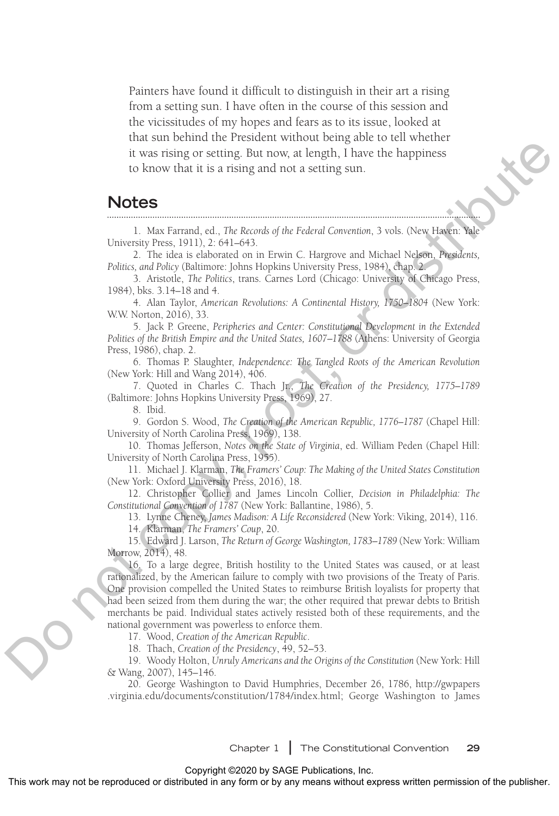Painters have found it difficult to distinguish in their art a rising from a setting sun. I have often in the course of this session and the vicissitudes of my hopes and fears as to its issue, looked at that sun behind the President without being able to tell whether it was rising or setting. But now, at length, I have the happiness to know that it is a rising and not a setting sun.

### **Notes**

1. Max Farrand, ed., *The Records of the Federal Convention*, 3 vols. (New Haven: Yale University Press, 1911), 2: 641–643.

2. The idea is elaborated on in Erwin C. Hargrove and Michael Nelson, *Presidents, Politics, and Policy* (Baltimore: Johns Hopkins University Press, 1984), chap. 2.

3. Aristotle, *The Politics*, trans. Carnes Lord (Chicago: University of Chicago Press, 1984), bks. 3.14–18 and 4.

4. Alan Taylor, *American Revolutions: A Continental History, 1750–1804* (New York: W.W. Norton, 2016), 33.

5. Jack P. Greene, *Peripheries and Center: Constitutional Development in the Extended Polities of the British Empire and the United States, 1607–1788* (Athens: University of Georgia Press, 1986), chap. 2.

6. Thomas P. Slaughter, *Independence: The Tangled Roots of the American Revolution* (New York: Hill and Wang 2014), 406.

7. Quoted in Charles C. Thach Jr., *The Creation of the Presidency, 1775–1789* (Baltimore: Johns Hopkins University Press, 1969), 27.

8. Ibid.

9. Gordon S. Wood, *The Creation of the American Republic, 1776–1787* (Chapel Hill: University of North Carolina Press, 1969), 138.

10. Thomas Jefferson, *Notes on the State of Virginia*, ed. William Peden (Chapel Hill: University of North Carolina Press, 1955).

11. Michael J. Klarman, *The Framers' Coup: The Making of the United States Constitution* (New York: Oxford University Press, 2016), 18.

12. Christopher Collier and James Lincoln Collier, *Decision in Philadelphia: The Constitutional Convention of 1787* (New York: Ballantine, 1986), 5.

13. Lynne Cheney, *James Madison: A Life Reconsidered* (New York: Viking, 2014), 116.

14. Klarman, *The Framers' Coup*, 20.

15. Edward J. Larson, *The Return of George Washington, 1783–1789* (New York: William Morrow, 2014), 48.

16. To a large degree, British hostility to the United States was caused, or at least rationalized, by the American failure to comply with two provisions of the Treaty of Paris. One provision compelled the United States to reimburse British loyalists for property that had been seized from them during the war; the other required that prewar debts to British merchants be paid. Individual states actively resisted both of these requirements, and the national government was powerless to enforce them. The reproduced or distributed or distributed in any form or by any means with the repression of the reproduced or distributed in any means with the publisher. This we have the reproduced in a set in a set in a set in any

17. Wood, *Creation of the American Republic*.

18. Thach, *Creation of the Presidency*, 49, 52–53.

19. Woody Holton, *Unruly Americans and the Origins of the Constitution* (New York: Hill & Wang, 2007), 145–146.

20. George Washington to David Humphries, December 26, 1786, http://gwpapers .virginia.edu/documents/constitution/1784/index.html; George Washington to James

Chapter 1 **|** The Constitutional Convention **<sup>29</sup>**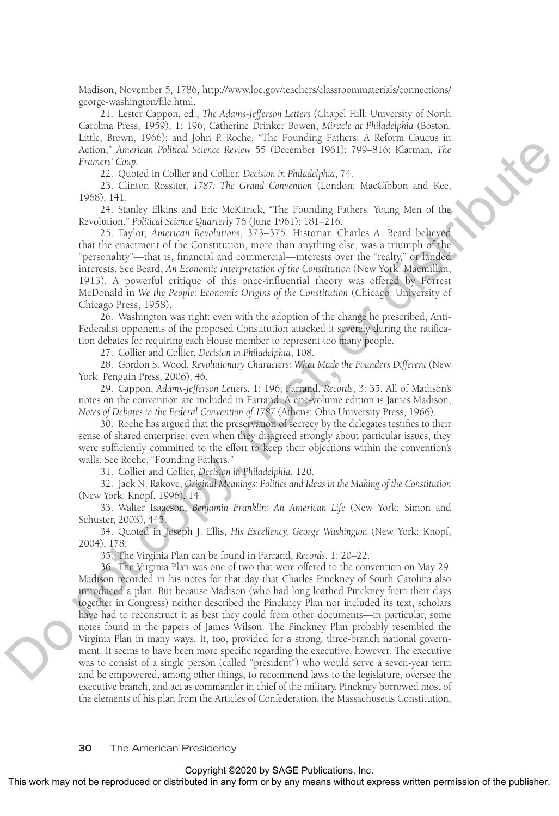Madison, November 5, 1786, http://www.loc.gov/teachers/classroommaterials/connections/ george-washington/file.html.

21. Lester Cappon, ed., *The Adams-Jefferson Letters* (Chapel Hill: University of North Carolina Press, 1959), 1: 196; Catherine Drinker Bowen, *Miracle at Philadelphia* (Boston: Little, Brown, 1966); and John P. Roche, "The Founding Fathers: A Reform Caucus in Action," *American Political Science Review* 55 (December 1961): 799–816; Klarman*, The Framers' Coup.*

22. Quoted in Collier and Collier, *Decision in Philadelphia*, 74.

23. Clinton Rossiter, *1787: The Grand Convention* (London: MacGibbon and Kee, 1968), 141.

24. Stanley Elkins and Eric McKitrick, "The Founding Fathers: Young Men of the Revolution," *Political Science Quarterly* 76 (June 1961): 181–216.

25. Taylor, *American Revolutions*, 373–375. Historian Charles A. Beard believed that the enactment of the Constitution, more than anything else, was a triumph of the "personality"—that is, financial and commercial—interests over the "realty," or landed interests. See Beard, *An Economic Interpretation of the Constitution* (New York: Macmillan, 1913). A powerful critique of this once-influential theory was offered by Forrest McDonald in *We the People: Economic Origins of the Constitution* (Chicago: University of Chicago Press, 1958).

26. Washington was right: even with the adoption of the change he prescribed, Anti-Federalist opponents of the proposed Constitution attacked it severely during the ratification debates for requiring each House member to represent too many people.

27. Collier and Collier, *Decision in Philadelphia*, 108.

28. Gordon S. Wood, *Revolutionary Characters: What Made the Founders Different* (New York: Penguin Press, 2006), 46.

29. Cappon, *Adams-Jefferson Letters*, 1: 196; Farrand, *Records*, 3: 35. All of Madison's notes on the convention are included in Farrand. A one-volume edition is James Madison, *Notes of Debates in the Federal Convention of 1787* (Athens: Ohio University Press, 1966).

30. Roche has argued that the preservation of secrecy by the delegates testifies to their sense of shared enterprise: even when they disagreed strongly about particular issues, they were sufficiently committed to the effort to keep their objections within the convention's walls. See Roche, "Founding Fathers."

31. Collier and Collier, *Decision in Philadelphia*, 120.

32. Jack N. Rakove, *Original Meanings: Politics and Ideas in the Making of the Constitution* (New York: Knopf, 1996), 14.

33. Walter Isaacson, *Benjamin Franklin: An American Life* (New York: Simon and Schuster, 2003), 445.

34. Quoted in Joseph J. Ellis, *His Excellency, George Washington* (New York: Knopf, 2004), 178.

35. The Virginia Plan can be found in Farrand, *Records*, 1: 20–22.

36. The Virginia Plan was one of two that were offered to the convention on May 29. Madison recorded in his notes for that day that Charles Pinckney of South Carolina also introduced a plan. But because Madison (who had long loathed Pinckney from their days together in Congress) neither described the Pinckney Plan nor included its text, scholars have had to reconstruct it as best they could from other documents—in particular, some notes found in the papers of James Wilson. The Pinckney Plan probably resembled the Virginia Plan in many ways. It, too, provided for a strong, three-branch national government. It seems to have been more specific regarding the executive, however. The executive was to consist of a single person (called "president") who would serve a seven-year term and be empowered, among other things, to recommend laws to the legislature, oversee the executive branch, and act as commander in chief of the military. Pinckney borrowed most of the elements of his plan from the Articles of Confederation, the Massachusetts Constitution, Note that the repression of the repression or distributed in any form of the repression of the repression of the repression of the repression of the publisher  $\chi$  and the publisher  $\chi$  and the publisher of the publisher

**30** The American Presidency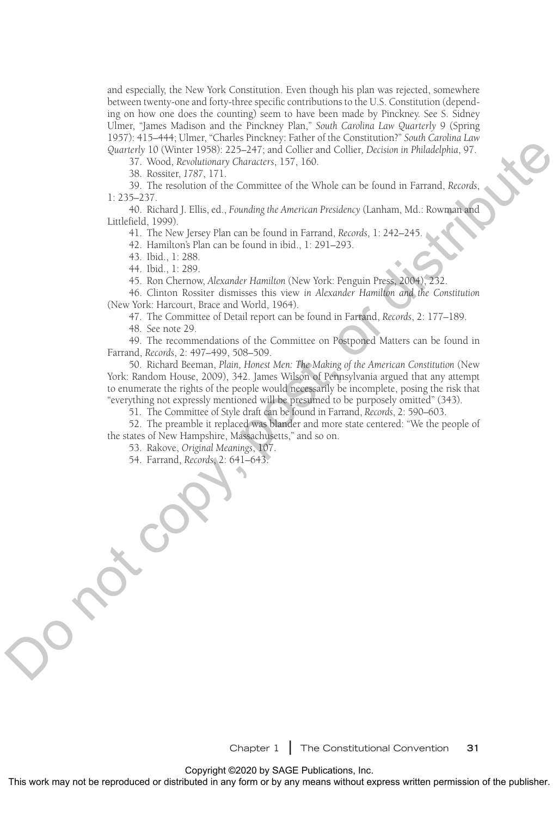and especially, the New York Constitution. Even though his plan was rejected, somewhere between twenty-one and forty-three specific contributions to the U.S. Constitution (depending on how one does the counting) seem to have been made by Pinckney. See S. Sidney Ulmer, "James Madison and the Pinckney Plan," *South Carolina Law Quarterly* 9 (Spring 1957): 415–444; Ulmer, "Charles Pinckney: Father of the Constitution?" *South Carolina Law Quarterly* 10 (Winter 1958): 225–247; and Collier and Collier*, Decision in Philadelphia*, 97.

37. Wood, *Revolutionary Characters*, 157, 160.

38. Rossiter, *1787*, 171.

39. The resolution of the Committee of the Whole can be found in Farrand, *Records*, 1: 235–237.

40. Richard J. Ellis, ed., *Founding the American Presidency* (Lanham, Md.: Rowman and Littlefield, 1999).

41. The New Jersey Plan can be found in Farrand, *Records*, 1: 242–245.

42. Hamilton's Plan can be found in ibid., 1: 291–293.

43. Ibid., 1: 288.

44. Ibid., 1: 289.

45. Ron Chernow, *Alexander Hamilton* (New York: Penguin Press, 2004), 232.

46. Clinton Rossiter dismisses this view *in Alexander Hamilton and the Constitution* (New York: Harcourt, Brace and World, 1964).

47. The Committee of Detail report can be found in Farrand, *Records*, 2: 177–189.

48. See note 29.

49. The recommendations of the Committee on Postponed Matters can be found in Farrand, *Records*, 2: 497–499, 508–509.

50. Richard Beeman, *Plain, Honest Men: The Making of the American Constitution* (New York: Random House, 2009), 342. James Wilson of Pennsylvania argued that any attempt to enumerate the rights of the people would necessarily be incomplete, posing the risk that "everything not expressly mentioned will be presumed to be purposely omitted" (343). Observe) This work may not be reproduced or distributed in any form or by any means with the reproduced or distributed in any form or by any means were permission of the committee of the Windows May not be functional in T

51. The Committee of Style draft can be found in Farrand, *Records*, 2: 590–603.

52. The preamble it replaced was blander and more state centered: "We the people of the states of New Hampshire, Massachusetts," and so on.

53. Rakove, *Original Meanings*, 107.

54. Farrand, *Records*, 2: 641–643.

Chapter 1 **|** The Constitutional Convention **<sup>31</sup>**